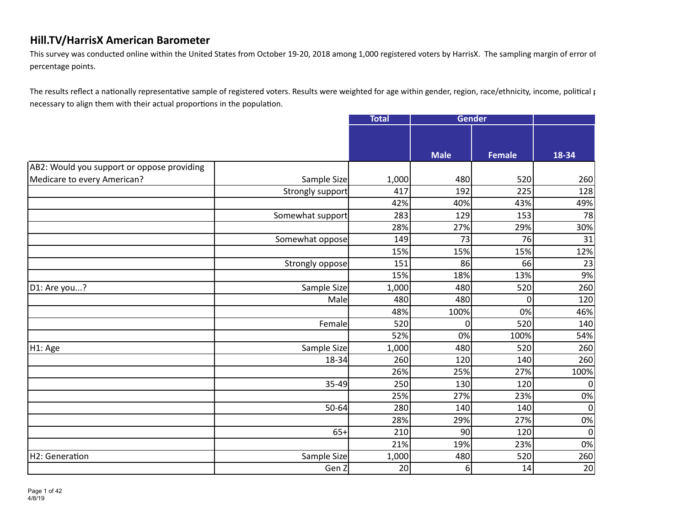This survey was conducted online within the United States from October 19-20, 2018 among 1,000 registered voters by HarrisX. The sampling margin of error of percentage points.

The results reflect a nationally representative sample of registered voters. Results were weighted for age within gender, region, race/ethnicity, income, political particle of necessary to align them with their actual proportions in the population.

|                                            |                  | <b>Total</b> | Gender      |               |             |
|--------------------------------------------|------------------|--------------|-------------|---------------|-------------|
|                                            |                  |              |             |               |             |
|                                            |                  |              |             |               |             |
|                                            |                  |              | <b>Male</b> | <b>Female</b> | 18-34       |
| AB2: Would you support or oppose providing |                  |              |             |               |             |
| Medicare to every American?                | Sample Size      | 1,000        | 480         | 520           | 260         |
|                                            | Strongly support | 417          | 192         | 225           | 128         |
|                                            |                  | 42%          | 40%         | 43%           | 49%         |
|                                            | Somewhat support | 283          | 129         | 153           | 78          |
|                                            |                  | 28%          | 27%         | 29%           | 30%         |
|                                            | Somewhat oppose  | 149          | 73          | 76            | 31          |
|                                            |                  | 15%          | 15%         | 15%           | 12%         |
|                                            | Strongly oppose  | 151          | 86          | 66            | 23          |
|                                            |                  | 15%          | 18%         | 13%           | 9%          |
| D1: Are you?                               | Sample Size      | 1,000        | 480         | 520           | 260         |
|                                            | Male             | 480          | 480         | 0             | 120         |
|                                            |                  | 48%          | 100%        | 0%            | 46%         |
|                                            | Female           | 520          | $\Omega$    | 520           | 140         |
|                                            |                  | 52%          | 0%          | 100%          | 54%         |
| H1: Age                                    | Sample Size      | 1,000        | 480         | 520           | 260         |
|                                            | 18-34            | 260          | 120         | 140           | 260         |
|                                            |                  | 26%          | 25%         | 27%           | 100%        |
|                                            | 35-49            | 250          | 130         | 120           | 0           |
|                                            |                  | 25%          | 27%         | 23%           | 0%          |
|                                            | 50-64            | 280          | 140         | 140           | $\mathbf 0$ |
|                                            |                  | 28%          | 29%         | 27%           | 0%          |
|                                            | $65+$            | 210          | 90          | 120           | 0           |
|                                            |                  | 21%          | 19%         | 23%           | 0%          |
| H2: Generation                             | Sample Size      | 1,000        | 480         | 520           | 260         |
|                                            | Gen Z            | 20           | 6           | 14            | 20          |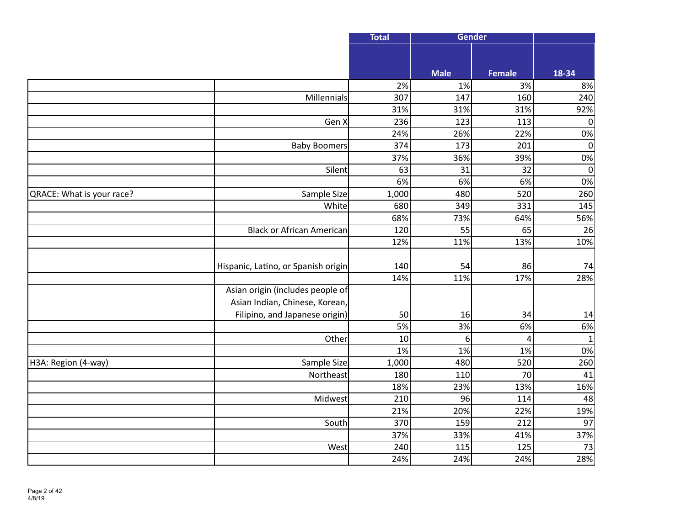|                           |                                     | <b>Total</b>     | Gender      |               |              |
|---------------------------|-------------------------------------|------------------|-------------|---------------|--------------|
|                           |                                     |                  |             |               |              |
|                           |                                     |                  | <b>Male</b> | <b>Female</b> | 18-34        |
|                           |                                     | 2%               | 1%          | 3%            | 8%           |
|                           | Millennials                         | $\overline{307}$ | 147         | 160           | 240          |
|                           |                                     | 31%              | 31%         | 31%           | 92%          |
|                           | Gen X                               | 236              | 123         | 113           | $\pmb{0}$    |
|                           |                                     | 24%              | 26%         | 22%           | 0%           |
|                           | <b>Baby Boomers</b>                 | 374              | 173         | 201           | $\mathbf 0$  |
|                           |                                     | 37%              | 36%         | 39%           | 0%           |
|                           | Silent                              | 63               | 31          | 32            | $\mathbf 0$  |
|                           |                                     | 6%               | 6%          | 6%            | 0%           |
| QRACE: What is your race? | Sample Size                         | 1,000            | 480         | 520           | 260          |
|                           | White                               | 680              | 349         | 331           | 145          |
|                           |                                     | 68%              | 73%         | 64%           | 56%          |
|                           | Black or African American           | 120              | 55          | 65            | 26           |
|                           |                                     | 12%              | 11%         | 13%           | 10%          |
|                           |                                     |                  |             |               |              |
|                           | Hispanic, Latino, or Spanish origin | 140              | 54          | 86            | 74           |
|                           |                                     | 14%              | 11%         | 17%           | 28%          |
|                           | Asian origin (includes people of    |                  |             |               |              |
|                           | Asian Indian, Chinese, Korean,      |                  |             |               |              |
|                           | Filipino, and Japanese origin)      | 50               | 16          | 34            | 14           |
|                           |                                     | 5%               | 3%          | 6%            | 6%           |
|                           | Other                               | 10               | 6           | 4             | $\mathbf{1}$ |
|                           |                                     | 1%               | 1%          | 1%            | 0%           |
| H3A: Region (4-way)       | Sample Size                         | 1,000            | 480         | 520           | 260          |
|                           | Northeast                           | 180              | 110         | 70            | 41           |
|                           |                                     | 18%              | 23%         | 13%           | 16%          |
|                           | Midwest                             | 210              | 96          | 114           | 48           |
|                           |                                     | 21%              | 20%         | 22%           | 19%          |
|                           | South                               | 370              | 159         | 212           | 97           |
|                           |                                     | 37%              | 33%         | 41%           | 37%          |
|                           | West                                | 240              | 115         | 125           | 73           |
|                           |                                     | 24%              | 24%         | 24%           | 28%          |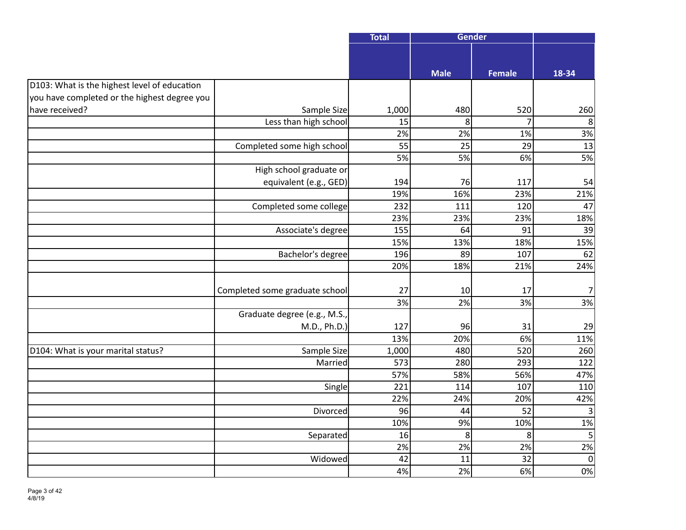|                                              |                                | <b>Total</b> | <b>Gender</b> |                |                |
|----------------------------------------------|--------------------------------|--------------|---------------|----------------|----------------|
|                                              |                                |              |               |                |                |
|                                              |                                |              | <b>Male</b>   | <b>Female</b>  | 18-34          |
| D103: What is the highest level of education |                                |              |               |                |                |
| you have completed or the highest degree you |                                |              |               |                |                |
| have received?                               | Sample Size                    | 1,000        | 480           | 520            | 260            |
|                                              | Less than high school          | 15           | 8             | $\overline{7}$ | 8              |
|                                              |                                | 2%           | 2%            | 1%             | 3%             |
|                                              | Completed some high school     | 55           | 25            | 29             | 13             |
|                                              |                                | 5%           | 5%            | 6%             | 5%             |
|                                              | High school graduate or        |              |               |                |                |
|                                              | equivalent (e.g., GED)         | 194          | 76            | 117            | 54             |
|                                              |                                | 19%          | 16%           | 23%            | 21%            |
|                                              | Completed some college         | 232          | 111           | 120            | 47             |
|                                              |                                | 23%          | 23%           | 23%            | 18%            |
|                                              | Associate's degree             | 155          | 64            | 91             | 39             |
|                                              |                                | 15%          | 13%           | 18%            | 15%            |
|                                              | Bachelor's degree              | 196          | 89            | 107            | 62             |
|                                              |                                | 20%          | 18%           | 21%            | 24%            |
|                                              |                                |              |               |                |                |
|                                              | Completed some graduate school | 27           | 10            | 17             | 7              |
|                                              |                                | 3%           | 2%            | 3%             | 3%             |
|                                              | Graduate degree (e.g., M.S.,   |              |               |                |                |
|                                              | M.D., Ph.D.)                   | 127          | 96            | 31             | 29             |
|                                              |                                | 13%          | 20%           | 6%             | 11%            |
| D104: What is your marital status?           | Sample Size                    | 1,000        | 480           | 520            | 260            |
|                                              | Married                        | 573          | 280           | 293            | 122            |
|                                              |                                | 57%          | 58%           | 56%            | 47%            |
|                                              | Single                         | 221          | 114           | 107            | 110            |
|                                              |                                | 22%          | 24%           | 20%            | 42%            |
|                                              | Divorced                       | 96           | 44            | 52             | 3              |
|                                              |                                | 10%          | 9%            | 10%            | 1%             |
|                                              | Separated                      | 16           | 8             | 8 <sup>1</sup> | $\overline{5}$ |
|                                              |                                | 2%           | 2%            | 2%             | 2%             |
|                                              | Widowed                        | 42           | 11            | 32             | $\mathbf 0$    |
|                                              |                                | 4%           | 2%            | 6%             | 0%             |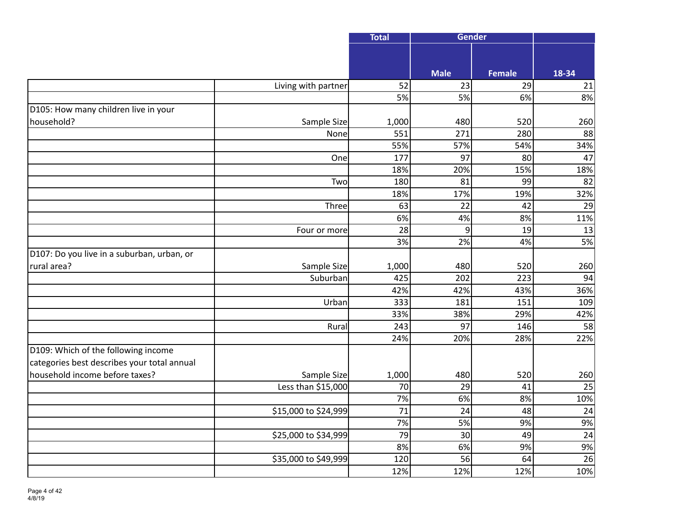|                                             |                      | <b>Total</b>    | <b>Gender</b>   |               |                 |
|---------------------------------------------|----------------------|-----------------|-----------------|---------------|-----------------|
|                                             |                      |                 |                 |               |                 |
|                                             |                      |                 | <b>Male</b>     | <b>Female</b> | 18-34           |
|                                             | Living with partner  | 52              | 23              | 29            | 21              |
|                                             |                      | 5%              | 5%              | 6%            | 8%              |
| D105: How many children live in your        |                      |                 |                 |               |                 |
| household?                                  | Sample Size          | 1,000           | 480             | 520           | 260             |
|                                             | None                 | 551             | 271             | 280           | 88              |
|                                             |                      | 55%             | 57%             | 54%           | 34%             |
|                                             | One                  | 177             | 97              | 80            | 47              |
|                                             |                      | 18%             | 20%             | 15%           | 18%             |
|                                             | Two                  | 180             | 81              | 99            | 82              |
|                                             |                      | 18%             | 17%             | 19%           | 32%             |
|                                             | Three                | 63              | $\overline{22}$ | 42            | 29              |
|                                             |                      | 6%              | 4%              | 8%            | 11%             |
|                                             | Four or more         | 28              | 9               | 19            | 13              |
|                                             |                      | 3%              | 2%              | 4%            | 5%              |
| D107: Do you live in a suburban, urban, or  |                      |                 |                 |               |                 |
| rural area?                                 | Sample Size          | 1,000           | 480             | 520           | 260             |
|                                             | Suburban             | 425             | 202             | 223           | 94              |
|                                             |                      | 42%             | 42%             | 43%           | 36%             |
|                                             | Urban                | 333             | 181             | 151           | 109             |
|                                             |                      | 33%             | 38%             | 29%           | 42%             |
|                                             | Rural                | 243             | 97              | 146           | 58              |
|                                             |                      | 24%             | 20%             | 28%           | 22%             |
| D109: Which of the following income         |                      |                 |                 |               |                 |
| categories best describes your total annual |                      |                 |                 |               |                 |
| household income before taxes?              | Sample Size          | 1,000           | 480             | 520           | 260             |
|                                             | Less than \$15,000   | 70              | 29              | 41            | 25              |
|                                             |                      | 7%              | 6%              | 8%            | 10%             |
|                                             | \$15,000 to \$24,999 | 71              | 24              | 48            | 24              |
|                                             |                      | 7%              | 5%              | 9%            | 9%              |
|                                             | \$25,000 to \$34,999 | $\overline{79}$ | 30              | 49            | $\overline{24}$ |
|                                             |                      | 8%              | 6%              | 9%            | 9%              |
|                                             | \$35,000 to \$49,999 | 120             | 56              | 64            | 26              |
|                                             |                      | 12%             | 12%             | 12%           | 10%             |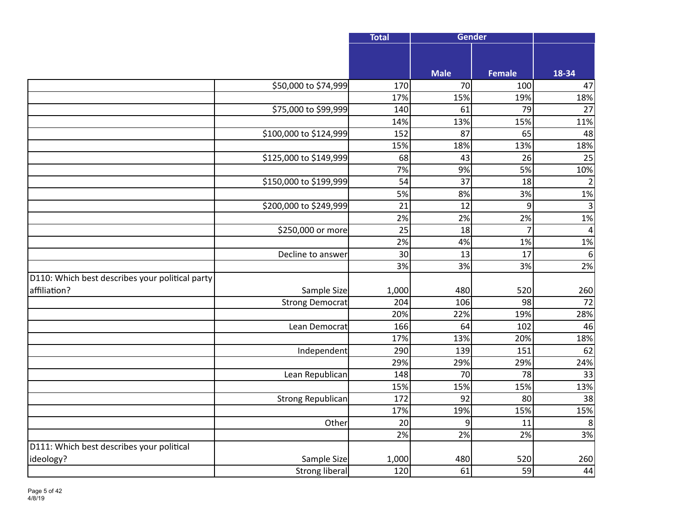|                                                 |                        | <b>Total</b>    | <b>Gender</b>   |                |                 |
|-------------------------------------------------|------------------------|-----------------|-----------------|----------------|-----------------|
|                                                 |                        |                 |                 |                |                 |
|                                                 |                        |                 | <b>Male</b>     | <b>Female</b>  | 18-34           |
|                                                 | \$50,000 to \$74,999   | 170             | 70              | 100            | 47              |
|                                                 |                        | 17%             | 15%             | 19%            | 18%             |
|                                                 | \$75,000 to \$99,999   | 140             | 61              | 79             | 27              |
|                                                 |                        | 14%             | 13%             | 15%            | 11%             |
|                                                 | \$100,000 to \$124,999 | 152             | 87              | 65             | 48              |
|                                                 |                        | 15%             | 18%             | 13%            | 18%             |
|                                                 | \$125,000 to \$149,999 | 68              | 43              | 26             | 25              |
|                                                 |                        | 7%              | 9%              | 5%             | 10%             |
|                                                 | \$150,000 to \$199,999 | $\overline{54}$ | $\overline{37}$ | 18             | $\overline{2}$  |
|                                                 |                        | 5%              | 8%              | 3%             | 1%              |
|                                                 | \$200,000 to \$249,999 | $\overline{21}$ | 12              | $\overline{9}$ | $\overline{3}$  |
|                                                 |                        | 2%              | 2%              | 2%             | 1%              |
|                                                 | \$250,000 or more      | 25              | 18              | $\overline{7}$ | $\overline{4}$  |
|                                                 |                        | 2%              | 4%              | 1%             | 1%              |
|                                                 | Decline to answer      | 30              | 13              | 17             | 6               |
|                                                 |                        | 3%              | 3%              | 3%             | 2%              |
| D110: Which best describes your political party |                        |                 |                 |                |                 |
| affiliation?                                    | Sample Size            | 1,000           | 480             | 520            | 260             |
|                                                 | <b>Strong Democrat</b> | 204             | 106             | 98             | $\overline{72}$ |
|                                                 |                        | 20%             | 22%             | 19%            | 28%             |
|                                                 | Lean Democrat          | 166             | 64              | 102            | 46              |
|                                                 |                        | 17%             | 13%             | 20%            | 18%             |
|                                                 | Independent            | 290             | 139             | 151            | 62              |
|                                                 |                        | 29%             | 29%             | 29%            | 24%             |
|                                                 | Lean Republican        | 148             | 70              | 78             | 33              |
|                                                 |                        | 15%             | 15%             | 15%            | 13%             |
|                                                 | Strong Republican      | 172             | 92              | 80             | 38              |
|                                                 |                        | 17%             | 19%             | 15%            | 15%             |
|                                                 | Other                  | 20              | 9               | 11             | 8               |
|                                                 |                        | 2%              | 2%              | 2%             | 3%              |
| D111: Which best describes your political       |                        |                 |                 |                |                 |
| ideology?                                       | Sample Size            | 1,000           | 480             | 520            | 260             |
|                                                 | <b>Strong liberal</b>  | 120             | 61              | 59             | 44              |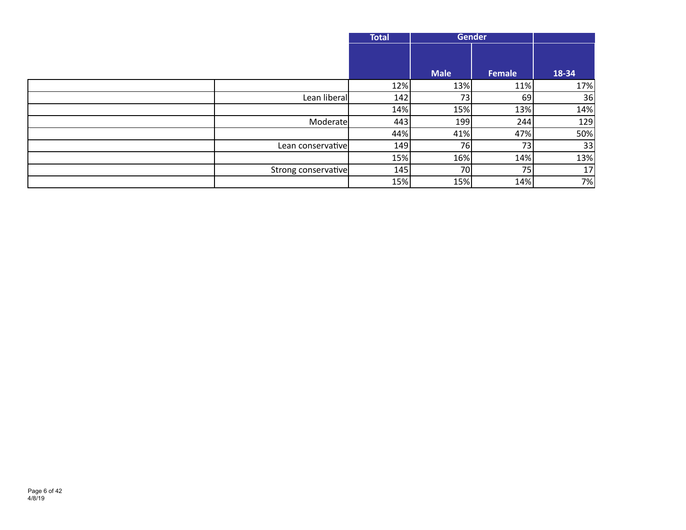|                     | <b>Total</b> |                 | <b>Gender</b>   |       |
|---------------------|--------------|-----------------|-----------------|-------|
|                     |              |                 |                 |       |
|                     |              | <b>Male</b>     | Female          | 18-34 |
|                     | 12%          | 13%             | 11%             | 17%   |
| Lean liberal        | 142          | 73              | 69              | 36    |
|                     | 14%          | 15%             | 13%             | 14%   |
| Moderate            | 443          | 199             | 244             | 129   |
|                     | 44%          | 41%             | 47%             | 50%   |
| Lean conservative   | 149          | 76 <sub>1</sub> | 73 <sub>1</sub> | 33    |
|                     | 15%          | 16%             | 14%             | 13%   |
| Strong conservative | 145          | <b>70</b>       | 75              | 17    |
|                     | 15%          | 15%             | 14%             | 7%    |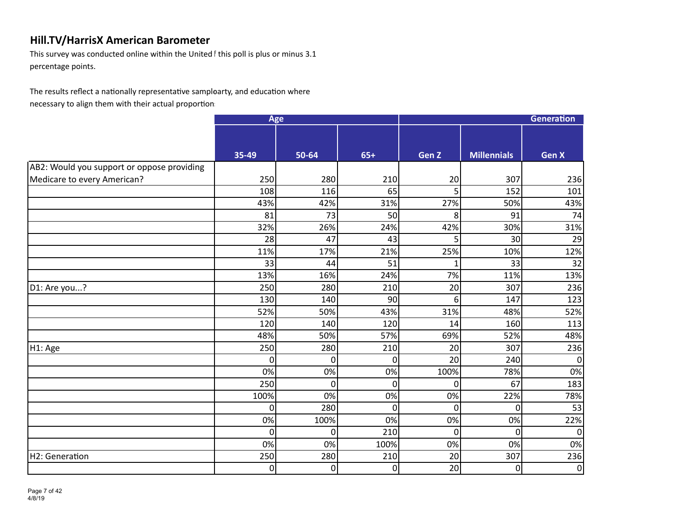This survey was conducted online within the United f this poll is plus or minus 3.1 percentage points.

The results reflect a nationally representative samploarty, and education where where the state of the results reflect a nationally representative samploarty, and education where necessary to align them with their actual proportion.

|                                            | Age          |                |                | <b>Generation</b> |                    |                |  |
|--------------------------------------------|--------------|----------------|----------------|-------------------|--------------------|----------------|--|
|                                            |              |                |                |                   |                    |                |  |
|                                            | 35-49        | 50-64          | $65+$          | Gen <sub>Z</sub>  | <b>Millennials</b> | <b>Gen X</b>   |  |
| AB2: Would you support or oppose providing |              |                |                |                   |                    |                |  |
| Medicare to every American?                | 250          | 280            | 210            | 20                | 307                | 236            |  |
|                                            | 108          | 116            | 65             | 5                 | 152                | 101            |  |
|                                            | 43%          | 42%            | 31%            | 27%               | 50%                | 43%            |  |
|                                            | 81           | 73             | 50             | 8                 | 91                 | 74             |  |
|                                            | 32%          | 26%            | 24%            | 42%               | 30%                | 31%            |  |
|                                            | 28           | 47             | 43             | 5                 | 30                 | 29             |  |
|                                            | 11%          | 17%            | 21%            | 25%               | 10%                | 12%            |  |
|                                            | 33           | 44             | 51             | 1                 | 33                 | 32             |  |
|                                            | 13%          | 16%            | 24%            | 7%                | 11%                | 13%            |  |
| D1: Are you?                               | 250          | 280            | 210            | 20                | 307                | 236            |  |
|                                            | 130          | 140            | 90             | 6                 | 147                | 123            |  |
|                                            | 52%          | 50%            | 43%            | 31%               | 48%                | 52%            |  |
|                                            | 120          | 140            | 120            | 14                | 160                | 113            |  |
|                                            | 48%          | 50%            | 57%            | 69%               | 52%                | 48%            |  |
| H1: Age                                    | 250          | 280            | 210            | 20                | 307                | 236            |  |
|                                            | $\Omega$     | 0              | $\overline{0}$ | 20                | 240                | $\mathbf 0$    |  |
|                                            | 0%           | 0%             | 0%             | 100%              | 78%                | 0%             |  |
|                                            | 250          | $\overline{0}$ | $\overline{0}$ | 0                 | 67                 | 183            |  |
|                                            | 100%         | 0%             | 0%             | 0%                | 22%                | 78%            |  |
|                                            | $\Omega$     | 280            | $\overline{0}$ | $\overline{0}$    | $\Omega$           | 53             |  |
|                                            | 0%           | 100%           | 0%             | 0%                | 0%                 | 22%            |  |
|                                            | $\mathbf{0}$ | 0              | 210            | $\mathbf 0$       | $\overline{0}$     | $\mathbf 0$    |  |
|                                            | 0%           | 0%             | 100%           | 0%                | 0%                 | 0%             |  |
| H2: Generation                             | 250          | 280            | 210            | 20                | 307                | 236            |  |
|                                            | $\Omega$     | 0              | $\overline{0}$ | 20                | $\Omega$           | $\overline{0}$ |  |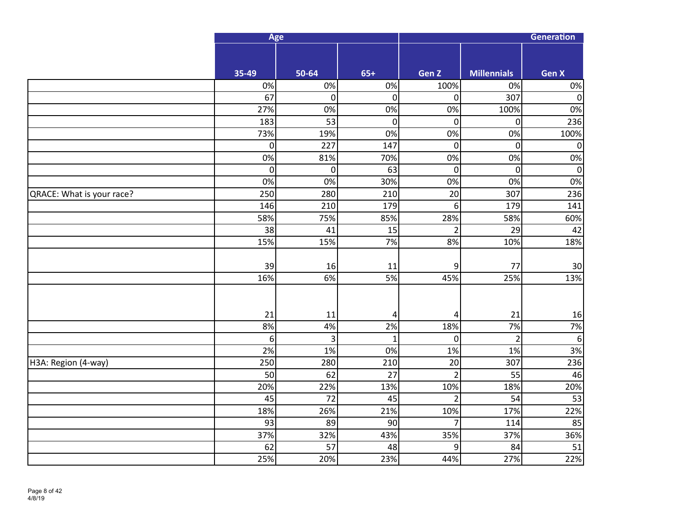|                           |                  | Age         |                        |                       | Generation         |                  |  |  |
|---------------------------|------------------|-------------|------------------------|-----------------------|--------------------|------------------|--|--|
|                           |                  |             |                        |                       |                    |                  |  |  |
|                           | 35-49            | 50-64       | $65+$                  | Gen Z                 | <b>Millennials</b> | <b>Gen X</b>     |  |  |
|                           | 0%               | 0%          | 0%                     | 100%                  | 0%                 | $0\%$            |  |  |
|                           | 67               | 0           | $\boldsymbol{0}$       | 0                     | 307                | $\overline{0}$   |  |  |
|                           | 27%              | 0%          | 0%                     | 0%                    | 100%               | 0%               |  |  |
|                           | 183              | 53          | $\pmb{0}$              | 0                     | $\overline{0}$     | 236              |  |  |
|                           | 73%              | 19%         | 0%                     | 0%                    | 0%                 | 100%             |  |  |
|                           | $\mathbf 0$      | 227         | 147                    | $\mathbf 0$           | $\overline{0}$     | $\boldsymbol{0}$ |  |  |
|                           | $0\%$            | 81%         | 70%                    | 0%                    | 0%                 | 0%               |  |  |
|                           | $\mathbf 0$      | $\mathbf 0$ | 63                     | $\mathbf 0$           | $\overline{0}$     | $\boldsymbol{0}$ |  |  |
|                           | 0%               | 0%          | 30%                    | 0%                    | 0%                 | 0%               |  |  |
| QRACE: What is your race? | 250              | 280         | 210                    | 20                    | 307                | 236              |  |  |
|                           | 146              | 210         | 179                    | 6                     | 179                | 141              |  |  |
|                           | 58%              | 75%         | 85%                    | 28%                   | 58%                | 60%              |  |  |
|                           | 38               | 41          | 15                     | $\overline{2}$        | 29                 | 42               |  |  |
|                           | 15%              | 15%         | $7%$                   | 8%                    | 10%                | 18%              |  |  |
|                           |                  |             |                        |                       |                    |                  |  |  |
|                           | 39               | 16          | 11                     | 9                     | 77                 | 30 <sup>°</sup>  |  |  |
|                           | 16%              | 6%          | 5%                     | 45%                   | 25%                | 13%              |  |  |
|                           |                  |             |                        |                       |                    |                  |  |  |
|                           |                  |             |                        |                       |                    |                  |  |  |
|                           | 21               | 11          | 4                      | 4                     | 21                 | 16               |  |  |
|                           | 8%               | 4%          | 2%                     | 18%                   | 7%                 | 7%               |  |  |
|                           | $\boldsymbol{6}$ | 3           | $\mathbf{1}$           | $\mathbf 0$           | $\overline{2}$     | $\boldsymbol{6}$ |  |  |
|                           | 2%               | 1%          | 0%                     | 1%                    | 1%                 | 3%               |  |  |
| H3A: Region (4-way)       | 250              | 280         | 210<br>$\overline{27}$ | 20                    | 307                | 236              |  |  |
|                           | 50               | 62          |                        | $\overline{2}$        | 55                 | 46               |  |  |
|                           | 20%              | 22%<br>72   | 13%<br>45              | 10%                   | 18%<br>54          | 20%<br>53        |  |  |
|                           | 45<br>18%        | 26%         | 21%                    | $\overline{2}$<br>10% | 17%                | 22%              |  |  |
|                           | 93               | 89          | 90                     | 7                     | 114                | 85               |  |  |
|                           | 37%              | 32%         | 43%                    | 35%                   | 37%                | 36%              |  |  |
|                           | 62               | 57          | 48                     | 9                     | 84                 | 51               |  |  |
|                           | 25%              | 20%         | 23%                    | 44%                   | 27%                | 22%              |  |  |
|                           |                  |             |                        |                       |                    |                  |  |  |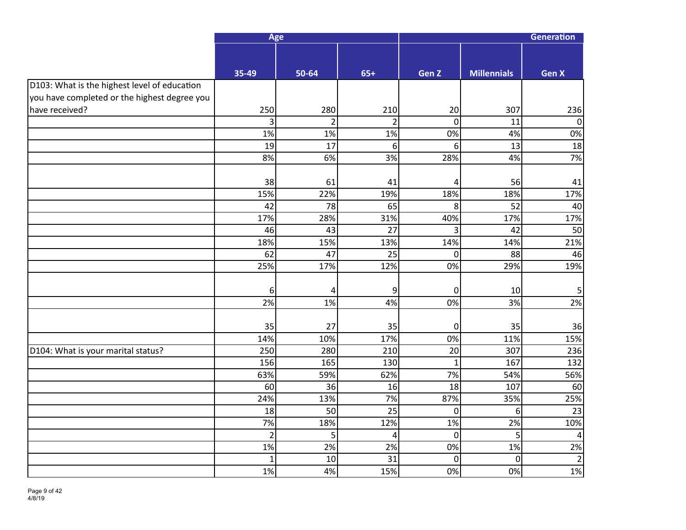|                                              | Age            |                |                | Generation      |                    |                |  |
|----------------------------------------------|----------------|----------------|----------------|-----------------|--------------------|----------------|--|
|                                              |                |                |                |                 |                    |                |  |
|                                              | 35-49          | 50-64          | $65+$          | Gen Z           | <b>Millennials</b> | Gen X          |  |
| D103: What is the highest level of education |                |                |                |                 |                    |                |  |
| you have completed or the highest degree you |                |                |                |                 |                    |                |  |
| have received?                               | 250            | 280            | 210            | 20              | 307                | 236            |  |
|                                              | 3              | $\overline{2}$ | $\overline{2}$ | $\overline{0}$  | 11                 | $\overline{0}$ |  |
|                                              | 1%             | 1%             | 1%             | 0%              | 4%                 | 0%             |  |
|                                              | 19             | 17             | $6\,$          | 6               | 13                 | 18             |  |
|                                              | 8%             | 6%             | 3%             | 28%             | 4%                 | 7%             |  |
|                                              |                |                |                |                 |                    |                |  |
|                                              | 38             | 61             | 41             | 4               | 56                 | 41             |  |
|                                              | 15%            | 22%            | 19%            | 18%             | 18%                | 17%            |  |
|                                              | 42             | 78             | 65             | 8               | 52                 | 40             |  |
|                                              | 17%            | 28%            | 31%            | 40%             | 17%                | 17%            |  |
|                                              | 46             | 43             | 27             | 3               | 42                 | 50             |  |
|                                              | 18%            | 15%            | 13%            | 14%             | 14%                | 21%            |  |
|                                              | 62             | 47             | 25             | 0               | 88                 | 46             |  |
|                                              | 25%            | 17%            | 12%            | 0%              | 29%                | 19%            |  |
|                                              |                |                |                |                 |                    |                |  |
|                                              | 6              | 4              | 9              | 0               | 10                 | 5              |  |
|                                              | 2%             | 1%             | 4%             | 0%              | 3%                 | 2%             |  |
|                                              |                |                |                |                 |                    |                |  |
|                                              | 35             | 27             | 35             | 0               | 35                 | 36             |  |
|                                              | 14%            | 10%            | 17%            | 0%              | 11%                | 15%            |  |
| D104: What is your marital status?           | 250            | 280            | 210            | 20 <sup>°</sup> | 307                | 236            |  |
|                                              | 156            | 165            | 130            | $\mathbf 1$     | 167                | 132            |  |
|                                              | 63%            | 59%            | 62%            | 7%              | 54%                | 56%            |  |
|                                              | 60             | 36             | 16             | 18              | 107                | 60             |  |
|                                              | 24%            | 13%            | 7%             | 87%             | 35%                | 25%            |  |
|                                              | 18             | 50             | 25             | $\mathbf 0$     | $6 \overline{6}$   | 23             |  |
|                                              | 7%             | 18%            | 12%            | 1%              | 2%                 | 10%            |  |
|                                              | $\overline{2}$ | 5              | $\overline{a}$ | $\overline{0}$  | 5                  | 4              |  |
|                                              | 1%             | 2%             | 2%             | 0%              | 1%                 | 2%             |  |
|                                              | 1              | 10             | 31             | $\mathbf 0$     | $\overline{0}$     | $\overline{2}$ |  |
|                                              | 1%             | 4%             | 15%            | 0%              | 0%                 | 1%             |  |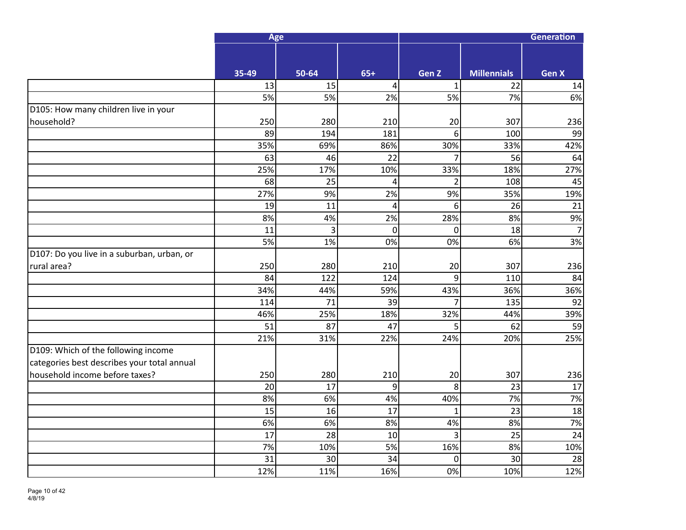|                                             | Age   |       |             | Generation     |                    |                 |  |
|---------------------------------------------|-------|-------|-------------|----------------|--------------------|-----------------|--|
|                                             |       |       |             |                |                    |                 |  |
|                                             | 35-49 | 50-64 | $65+$       | Gen Z          | <b>Millennials</b> | <b>Gen X</b>    |  |
|                                             | 13    | 15    | 4           | $\mathbf{1}$   | 22                 | 14              |  |
|                                             | 5%    | 5%    | 2%          | 5%             | 7%                 | 6%              |  |
| D105: How many children live in your        |       |       |             |                |                    |                 |  |
| household?                                  | 250   | 280   | 210         | 20             | 307                | 236             |  |
|                                             | 89    | 194   | 181         | 6              | 100                | 99              |  |
|                                             | 35%   | 69%   | 86%         | 30%            | 33%                | 42%             |  |
|                                             | 63    | 46    | 22          | 7              | 56                 | 64              |  |
|                                             | 25%   | 17%   | 10%         | 33%            | 18%                | 27%             |  |
|                                             | 68    | 25    | 4           | $\overline{2}$ | 108                | 45              |  |
|                                             | 27%   | 9%    | 2%          | 9%             | 35%                | 19%             |  |
|                                             | 19    | 11    | 4           | 6              | 26                 | 21              |  |
|                                             | 8%    | 4%    | 2%          | 28%            | 8%                 | 9%              |  |
|                                             | 11    | 3     | $\mathbf 0$ | $\mathbf 0$    | 18                 | $\overline{7}$  |  |
|                                             | 5%    | 1%    | 0%          | 0%             | 6%                 | 3%              |  |
| D107: Do you live in a suburban, urban, or  |       |       |             |                |                    |                 |  |
| rural area?                                 | 250   | 280   | 210         | 20             | 307                | 236             |  |
|                                             | 84    | 122   | 124         | $\overline{9}$ | 110                | 84              |  |
|                                             | 34%   | 44%   | 59%         | 43%            | 36%                | 36%             |  |
|                                             | 114   | 71    | 39          | 7              | 135                | 92              |  |
|                                             | 46%   | 25%   | 18%         | 32%            | 44%                | 39%             |  |
|                                             | 51    | 87    | 47          | 5              | 62                 | 59              |  |
|                                             | 21%   | 31%   | 22%         | 24%            | 20%                | 25%             |  |
| D109: Which of the following income         |       |       |             |                |                    |                 |  |
| categories best describes your total annual |       |       |             |                |                    |                 |  |
| household income before taxes?              | 250   | 280   | 210         | 20             | 307                | 236             |  |
|                                             | 20    | 17    | 9           | 8              | 23                 | 17              |  |
|                                             | 8%    | 6%    | 4%          | 40%            | 7%                 | 7%              |  |
|                                             | 15    | 16    | 17          | $\mathbf{1}$   | 23                 | 18              |  |
|                                             | 6%    | 6%    | 8%          | 4%             | 8%                 | 7%              |  |
|                                             | 17    | 28    | 10          | 3              | 25                 | $\overline{24}$ |  |
|                                             | 7%    | 10%   | 5%          | 16%            | 8%                 | 10%             |  |
|                                             | 31    | 30    | 34          | 0              | 30                 | 28              |  |
|                                             | 12%   | 11%   | 16%         | 0%             | 10%                | 12%             |  |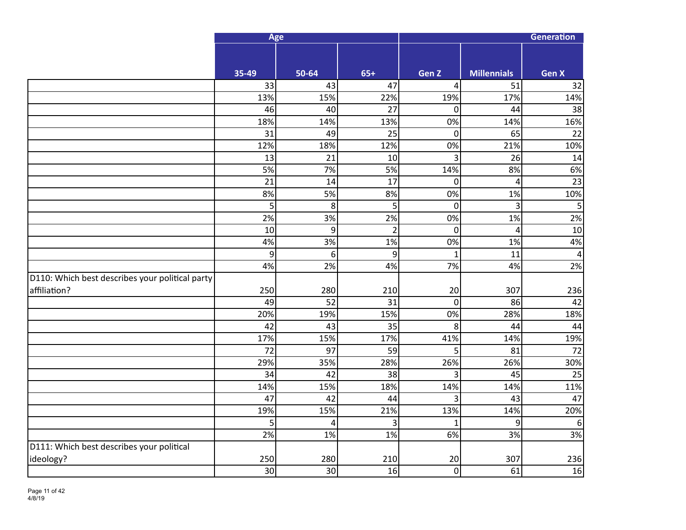|                                                 | Age   |                  |                | <b>Generation</b> |                    |                 |  |
|-------------------------------------------------|-------|------------------|----------------|-------------------|--------------------|-----------------|--|
|                                                 |       |                  |                |                   |                    |                 |  |
|                                                 | 35-49 | 50-64            | $65+$          | Gen Z             | <b>Millennials</b> | <b>Gen X</b>    |  |
|                                                 | 33    | 43               | 47             | 4                 | 51                 | 32              |  |
|                                                 | 13%   | 15%              | 22%            | 19%               | 17%                | 14%             |  |
|                                                 | 46    | 40               | 27             | $\overline{0}$    | 44                 | 38              |  |
|                                                 | 18%   | 14%              | 13%            | $\overline{0\%}$  | 14%                | 16%             |  |
|                                                 | 31    | 49               | 25             | $\mathbf 0$       | 65                 | 22              |  |
|                                                 | 12%   | 18%              | 12%            | 0%                | 21%                | 10%             |  |
|                                                 | 13    | 21               | 10             | 3                 | 26                 | 14              |  |
|                                                 | 5%    | 7%               | 5%             | 14%               | 8%                 | 6%              |  |
|                                                 | 21    | 14               | 17             | $\mathbf 0$       | 4                  | $\overline{23}$ |  |
|                                                 | 8%    | 5%               | 8%             | 0%                | 1%                 | 10%             |  |
|                                                 | 5     | 8                | 5              | $\mathbf 0$       | 3                  | 5               |  |
|                                                 | 2%    | 3%               | 2%             | 0%                | 1%                 | 2%              |  |
|                                                 | 10    | $\boldsymbol{9}$ | $\overline{2}$ | $\mathbf 0$       | $\overline{4}$     | 10              |  |
|                                                 | 4%    | 3%               | 1%             | 0%                | 1%                 | $4%$            |  |
|                                                 | 9     | 6                | 9              | $\mathbf{1}$      | 11                 | $\overline{4}$  |  |
|                                                 | 4%    | 2%               | 4%             | 7%                | 4%                 | 2%              |  |
| D110: Which best describes your political party |       |                  |                |                   |                    |                 |  |
| affiliation?                                    | 250   | 280              | 210            | 20                | 307                | 236             |  |
|                                                 | 49    | 52               | 31             | $\overline{0}$    | 86                 | 42              |  |
|                                                 | 20%   | 19%              | 15%            | 0%                | 28%                | 18%             |  |
|                                                 | 42    | 43               | 35             | 8                 | 44                 | 44              |  |
|                                                 | 17%   | 15%              | 17%            | 41%               | 14%                | 19%             |  |
|                                                 | 72    | 97               | 59             | 5                 | 81                 | 72              |  |
|                                                 | 29%   | 35%              | 28%            | 26%               | 26%                | 30%             |  |
|                                                 | 34    | 42               | 38             | 3                 | 45                 | $\overline{25}$ |  |
|                                                 | 14%   | 15%              | 18%            | 14%               | 14%                | 11%             |  |
|                                                 | 47    | 42               | 44             | 3                 | 43                 | 47              |  |
|                                                 | 19%   | 15%              | 21%            | 13%               | 14%                | 20%             |  |
|                                                 | 5     | 4                | 3              | $\overline{1}$    | 9                  | 6               |  |
|                                                 | 2%    | 1%               | 1%             | 6%                | 3%                 | 3%              |  |
| D111: Which best describes your political       |       |                  |                |                   |                    |                 |  |
| ideology?                                       | 250   | 280              | 210            | 20                | 307                | 236             |  |
|                                                 | 30    | 30               | 16             | $\mathbf 0$       | 61                 | 16              |  |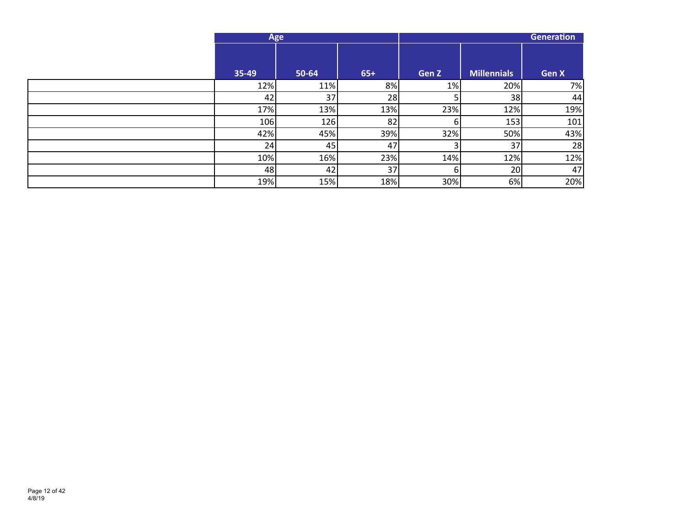| Age   |       |       | Generation |                    |       |
|-------|-------|-------|------------|--------------------|-------|
| 35-49 | 50-64 | $65+$ | Gen Z      | <b>Millennials</b> | Gen X |
| 12%   | 11%   | 8%    | 1%         | 20%                | 7%    |
| 42    | 37    | 28    |            | 38                 | 44    |
| 17%   | 13%   | 13%   | 23%        | 12%                | 19%   |
| 106   | 126   | 82    |            | 153                | 101   |
| 42%   | 45%   | 39%   | 32%        | 50%                | 43%   |
| 24    | 45    | 47    |            | 37                 | 28    |
| 10%   | 16%   | 23%   | 14%        | 12%                | 12%   |
| 48    | 42    | 37    | 61         | 20                 | 47    |
| 19%   | 15%   | 18%   | 30%        | 6%                 | 20%   |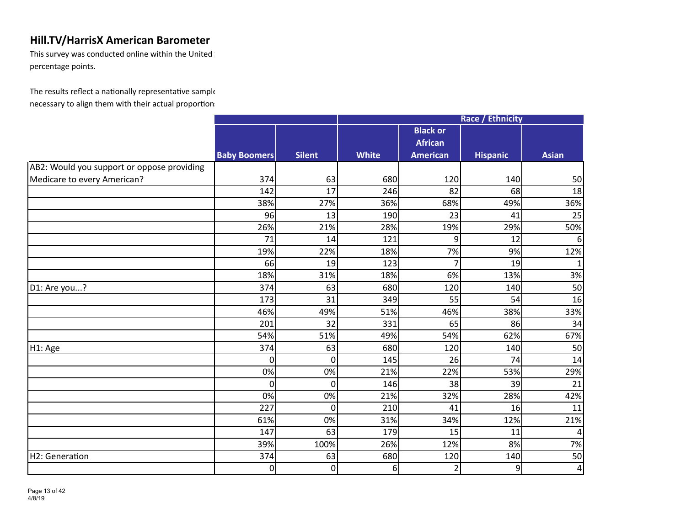This survey was conducted online within the United  $\mathbb I$ percentage points.

|                                            |                     |                |              |                 | <b>Race / Ethnicity</b> |              |
|--------------------------------------------|---------------------|----------------|--------------|-----------------|-------------------------|--------------|
|                                            |                     |                |              | <b>Black or</b> |                         |              |
|                                            |                     |                |              | <b>African</b>  |                         |              |
|                                            | <b>Baby Boomers</b> | <b>Silent</b>  | <b>White</b> | <b>American</b> | <b>Hispanic</b>         | <b>Asian</b> |
| AB2: Would you support or oppose providing |                     |                |              |                 |                         |              |
| Medicare to every American?                | 374                 | 63             | 680          | 120             | 140                     | 50           |
|                                            | 142                 | 17             | 246          | 82              | 68                      | 18           |
|                                            | 38%                 | 27%            | 36%          | 68%             | 49%                     | 36%          |
|                                            | 96                  | 13             | 190          | 23              | 41                      | 25           |
|                                            | 26%                 | 21%            | 28%          | 19%             | 29%                     | 50%          |
|                                            | 71                  | 14             | 121          | 9               | 12                      | 6            |
|                                            | 19%                 | 22%            | 18%          | 7%              | 9%                      | 12%          |
|                                            | 66                  | 19             | 123          | $\overline{7}$  | 19                      | $\mathbf{1}$ |
|                                            | 18%                 | 31%            | 18%          | 6%              | 13%                     | 3%           |
| D1: Are you?                               | 374                 | 63             | 680          | 120             | 140                     | 50           |
|                                            | 173                 | 31             | 349          | 55              | 54                      | 16           |
|                                            | 46%                 | 49%            | 51%          | 46%             | 38%                     | 33%          |
|                                            | 201                 | 32             | 331          | 65              | 86                      | 34           |
|                                            | 54%                 | 51%            | 49%          | 54%             | 62%                     | 67%          |
| H1: Age                                    | 374                 | 63             | 680          | 120             | 140                     | 50           |
|                                            | $\Omega$            | $\Omega$       | 145          | 26              | 74                      | 14           |
|                                            | 0%                  | 0%             | 21%          | 22%             | 53%                     | 29%          |
|                                            | $\Omega$            | $\overline{0}$ | 146          | 38              | 39                      | 21           |
|                                            | 0%                  | 0%             | 21%          | 32%             | 28%                     | 42%          |
|                                            | 227                 | $\mathbf 0$    | 210          | 41              | 16                      | 11           |
|                                            | 61%                 | 0%             | 31%          | 34%             | 12%                     | 21%          |
|                                            | 147                 | 63             | 179          | 15              | 11                      | 4            |
|                                            | 39%                 | 100%           | 26%          | 12%             | 8%                      | 7%           |
| H2: Generation                             | 374                 | 63             | 680          | 120             | 140                     | 50           |
|                                            | 0                   | 0              | $6 \mid$     | $\overline{2}$  | 9                       | $\pmb{4}$    |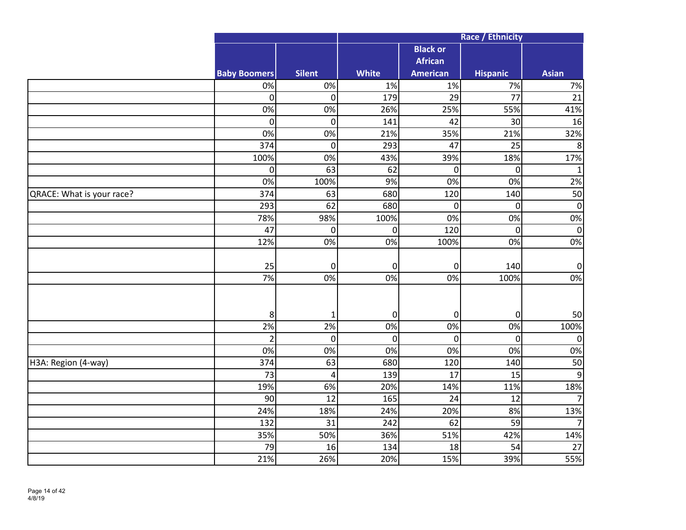|                           |                     |                  | Race / Ethnicity |                  |                 |                  |  |  |
|---------------------------|---------------------|------------------|------------------|------------------|-----------------|------------------|--|--|
|                           |                     |                  |                  | <b>Black or</b>  |                 |                  |  |  |
|                           |                     |                  |                  | <b>African</b>   |                 |                  |  |  |
|                           | <b>Baby Boomers</b> | <b>Silent</b>    | <b>White</b>     | <b>American</b>  | <b>Hispanic</b> | <b>Asian</b>     |  |  |
|                           | 0%                  | 0%               | 1%               | 1%               | 7%              | $7%$             |  |  |
|                           | 0                   | $\boldsymbol{0}$ | 179              | 29               | $\overline{77}$ | 21               |  |  |
|                           | 0%                  | 0%               | 26%              | 25%              | 55%             | 41%              |  |  |
|                           | $\mathbf 0$         | $\mathbf 0$      | 141              | 42               | 30              | 16               |  |  |
|                           | 0%                  | 0%               | 21%              | 35%              | 21%             | 32%              |  |  |
|                           | 374                 | $\mathbf 0$      | 293              | 47               | 25              | 8                |  |  |
|                           | 100%                | 0%               | 43%              | 39%              | 18%             | 17%              |  |  |
|                           | $\pmb{0}$           | 63               | 62               | 0                | $\mathbf 0$     | $\mathbf{1}$     |  |  |
|                           | 0%                  | 100%             | 9%               | 0%               | 0%              | 2%               |  |  |
| QRACE: What is your race? | 374                 | 63               | 680              | 120              | 140             | 50               |  |  |
|                           | 293                 | 62               | 680              | $\boldsymbol{0}$ | $\overline{0}$  | $\pmb{0}$        |  |  |
|                           | 78%                 | 98%              | 100%             | 0%               | 0%              | 0%               |  |  |
|                           | 47                  | $\boldsymbol{0}$ | $\pmb{0}$        | 120              | $\overline{0}$  | $\boldsymbol{0}$ |  |  |
|                           | 12%                 | 0%               | $\overline{0\%}$ | 100%             | 0%              | 0%               |  |  |
|                           |                     |                  |                  |                  |                 |                  |  |  |
|                           | 25                  | 0                | $\boldsymbol{0}$ | $\mathbf 0$      | 140             | $\pmb{0}$        |  |  |
|                           | 7%                  | 0%               | 0%               | 0%               | 100%            | 0%               |  |  |
|                           |                     |                  |                  |                  |                 |                  |  |  |
|                           |                     |                  |                  |                  |                 |                  |  |  |
|                           | 8                   | 1                | $\boldsymbol{0}$ | $\mathbf 0$      | $\pmb{0}$       | 50               |  |  |
|                           | 2%                  | 2%               | $\overline{0\%}$ | 0%               | 0%              | 100%             |  |  |
|                           | $\overline{2}$      | $\overline{0}$   | $\boldsymbol{0}$ | 0                | $\overline{0}$  | $\mathbf 0$      |  |  |
|                           | 0%                  | 0%               | 0%               | 0%               | 0%              | $0\%$            |  |  |
| H3A: Region (4-way)       | 374                 | 63               | 680              | 120              | 140             | 50               |  |  |
|                           | 73                  | 4                | 139              | 17               | 15              | $\overline{9}$   |  |  |
|                           | 19%                 | 6%               | 20%              | 14%              | 11%             | 18%              |  |  |
|                           | 90                  | 12               | 165              | 24               | 12              | $\overline{7}$   |  |  |
|                           | 24%                 | 18%              | 24%              | 20%              | 8%              | 13%              |  |  |
|                           | 132                 | 31               | 242              | 62               | 59              | $\overline{7}$   |  |  |
|                           | 35%                 | 50%              | 36%              | 51%              | 42%             | 14%              |  |  |
|                           | 79                  | 16               | 134              | 18               | 54              | 27               |  |  |
|                           | 21%                 | 26%              | 20%              | 15%              | 39%             | 55%              |  |  |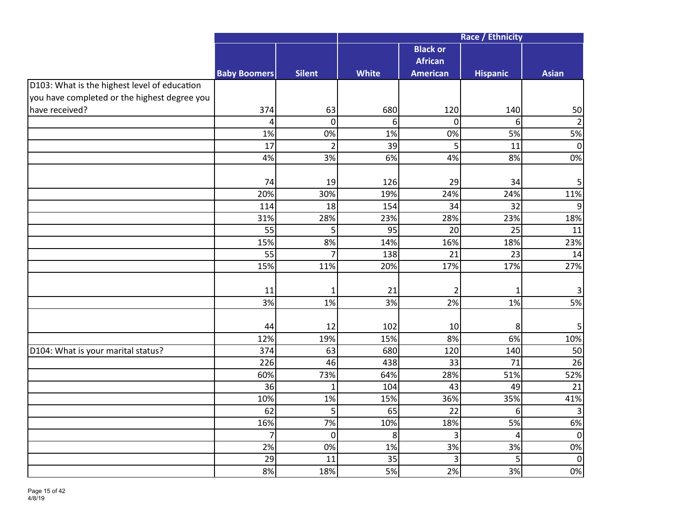|                                              |                     |                  |                  |                 | Race / Ethnicity |                |
|----------------------------------------------|---------------------|------------------|------------------|-----------------|------------------|----------------|
|                                              |                     |                  |                  | <b>Black or</b> |                  |                |
|                                              |                     |                  |                  | <b>African</b>  |                  |                |
|                                              | <b>Baby Boomers</b> | <b>Silent</b>    | <b>White</b>     | <b>American</b> | <b>Hispanic</b>  | <b>Asian</b>   |
| D103: What is the highest level of education |                     |                  |                  |                 |                  |                |
| you have completed or the highest degree you |                     |                  |                  |                 |                  |                |
| have received?                               | 374                 | 63               | 680              | 120             | 140              | 50             |
|                                              | 4                   | $\mathbf 0$      | 6                | $\overline{0}$  | 6                | $\overline{2}$ |
|                                              | 1%                  | 0%               | $1\overline{\%}$ | 0%              | 5%               | 5%             |
|                                              | 17                  | $\overline{2}$   | 39               | 5               | 11               | $\pmb{0}$      |
|                                              | 4%                  | 3%               | 6%               | 4%              | 8%               | 0%             |
|                                              |                     |                  |                  |                 |                  |                |
|                                              | 74                  | 19               | 126              | 29              | 34               | $\mathsf S$    |
|                                              | 20%                 | 30%              | 19%              | 24%             | 24%              | 11%            |
|                                              | 114                 | 18               | 154              | 34              | 32               | 9              |
|                                              | 31%                 | 28%              | 23%              | 28%             | 23%              | 18%            |
|                                              | 55                  | 5 <sup>1</sup>   | 95               | 20              | 25               | 11             |
|                                              | 15%                 | 8%               | 14%              | 16%             | 18%              | 23%            |
|                                              | 55                  | 7                | 138              | 21              | 23               | 14             |
|                                              | 15%                 | 11%              | 20%              | 17%             | 17%              | 27%            |
|                                              |                     |                  |                  |                 |                  |                |
|                                              | 11                  | 1                | 21               | $\overline{2}$  | 1                | $\mathbf{3}$   |
|                                              | 3%                  | 1%               | 3%               | 2%              | 1%               | 5%             |
|                                              |                     |                  |                  |                 |                  |                |
|                                              | 44                  | 12               | 102              | 10              | 8                | 5              |
|                                              | 12%                 | 19%              | 15%              | 8%              | 6%               | 10%            |
| D104: What is your marital status?           | 374                 | 63               | 680              | 120             | 140              | 50             |
|                                              | 226                 | 46               | 438              | 33              | 71               | 26             |
|                                              | 60%                 | 73%              | 64%              | 28%             | 51%              | 52%            |
|                                              | 36                  | $\mathbf{1}$     | 104              | 43              | 49               | 21             |
|                                              | 10%                 | 1%               | 15%              | 36%             | 35%              | 41%            |
|                                              | 62                  | 5                | 65               | 22              | 6                | $\overline{3}$ |
|                                              | 16%                 | 7%               | 10%              | 18%             | 5%               | 6%             |
|                                              | 7                   | $\boldsymbol{0}$ | 8                | 3               | $\overline{4}$   | $\pmb{0}$      |
|                                              | 2%                  | 0%               | 1%               | 3%              | 3%               | $0\%$          |
|                                              | 29                  | 11               | 35               | 3               | 5                | $\pmb{0}$      |
|                                              | 8%                  | 18%              | 5%               | 2%              | 3%               | 0%             |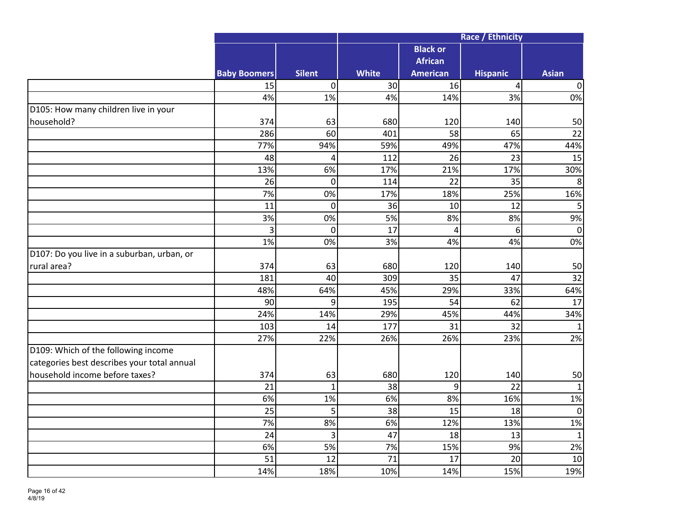|                                             |                     |                |              | Race / Ethnicity |                 |                |  |  |
|---------------------------------------------|---------------------|----------------|--------------|------------------|-----------------|----------------|--|--|
|                                             |                     |                |              | <b>Black or</b>  |                 |                |  |  |
|                                             |                     |                |              | <b>African</b>   |                 |                |  |  |
|                                             | <b>Baby Boomers</b> | <b>Silent</b>  | <b>White</b> | <b>American</b>  | <b>Hispanic</b> | <b>Asian</b>   |  |  |
|                                             | 15                  | 0              | 30           | 16               | $\overline{4}$  | $\mathbf 0$    |  |  |
|                                             | 4%                  | 1%             | 4%           | 14%              | 3%              | 0%             |  |  |
| D105: How many children live in your        |                     |                |              |                  |                 |                |  |  |
| household?                                  | 374                 | 63             | 680          | 120              | 140             | 50             |  |  |
|                                             | 286                 | 60             | 401          | 58               | 65              | 22             |  |  |
|                                             | 77%                 | 94%            | 59%          | 49%              | 47%             | 44%            |  |  |
|                                             | 48                  | 4              | 112          | 26               | 23              | 15             |  |  |
|                                             | 13%                 | 6%             | 17%          | 21%              | 17%             | 30%            |  |  |
|                                             | 26                  | $\overline{0}$ | 114          | $\overline{22}$  | $\overline{35}$ | $\overline{8}$ |  |  |
|                                             | 7%                  | 0%             | 17%          | 18%              | 25%             | 16%            |  |  |
|                                             | 11                  | $\overline{0}$ | 36           | 10               | 12              | 5              |  |  |
|                                             | 3%                  | 0%             | 5%           | 8%               | 8%              | 9%             |  |  |
|                                             | 3                   | $\overline{0}$ | 17           | 4                | 6               | $\mathbf 0$    |  |  |
|                                             | 1%                  | 0%             | 3%           | 4%               | 4%              | 0%             |  |  |
| D107: Do you live in a suburban, urban, or  |                     |                |              |                  |                 |                |  |  |
| rural area?                                 | 374                 | 63             | 680          | 120              | 140             | 50             |  |  |
|                                             | 181                 | 40             | 309          | 35               | 47              | 32             |  |  |
|                                             | 48%                 | 64%            | 45%          | 29%              | 33%             | 64%            |  |  |
|                                             | 90                  | $\overline{9}$ | 195          | 54               | 62              | 17             |  |  |
|                                             | 24%                 | 14%            | 29%          | 45%              | 44%             | 34%            |  |  |
|                                             | 103                 | 14             | 177          | 31               | 32              | $\mathbf{1}$   |  |  |
|                                             | 27%                 | 22%            | 26%          | 26%              | 23%             | 2%             |  |  |
| D109: Which of the following income         |                     |                |              |                  |                 |                |  |  |
| categories best describes your total annual |                     |                |              |                  |                 |                |  |  |
| household income before taxes?              | 374                 | 63             | 680          | 120              | 140             | 50             |  |  |
|                                             | 21                  | $\mathbf 1$    | 38           | 9                | 22              | $\mathbf 1$    |  |  |
|                                             | 6%                  | 1%             | 6%           | 8%               | 16%             | $1\%$          |  |  |
|                                             | 25                  | 5 <sup>1</sup> | 38           | 15               | 18              | $\pmb{0}$      |  |  |
|                                             | 7%                  | 8%             | 6%           | 12%              | 13%             | 1%             |  |  |
|                                             | 24                  | 3              | 47           | 18               | 13              | $\mathbf{1}$   |  |  |
|                                             | 6%                  | 5%             | 7%           | 15%              | 9%              | 2%             |  |  |
|                                             | 51                  | 12             | 71           | 17               | 20              | 10             |  |  |
|                                             | 14%                 | 18%            | 10%          | 14%              | 15%             | 19%            |  |  |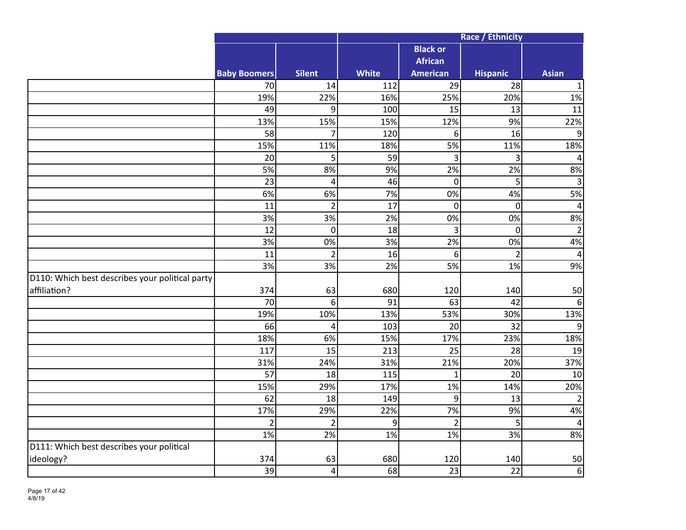|                                                 |                     |                         | Race / Ethnicity |                 |                 |                  |  |  |
|-------------------------------------------------|---------------------|-------------------------|------------------|-----------------|-----------------|------------------|--|--|
|                                                 |                     |                         |                  | <b>Black or</b> |                 |                  |  |  |
|                                                 |                     |                         |                  | <b>African</b>  |                 |                  |  |  |
|                                                 | <b>Baby Boomers</b> | <b>Silent</b>           | <b>White</b>     | <b>American</b> | <b>Hispanic</b> | <b>Asian</b>     |  |  |
|                                                 | 70                  | 14                      | 112              | 29              | 28              | $\mathbf 1$      |  |  |
|                                                 | 19%                 | 22%                     | 16%              | 25%             | 20%             | 1%               |  |  |
|                                                 | 49                  | 9                       | 100              | 15              | 13              | 11               |  |  |
|                                                 | 13%                 | 15%                     | 15%              | 12%             | 9%              | 22%              |  |  |
|                                                 | 58                  | 7                       | 120              | 6               | 16              | 9                |  |  |
|                                                 | 15%                 | 11%                     | 18%              | 5%              | 11%             | 18%              |  |  |
|                                                 | 20                  | 5                       | 59               | $\overline{3}$  | 3               | $\pmb{4}$        |  |  |
|                                                 | 5%                  | 8%                      | 9%               | 2%              | 2%              | 8%               |  |  |
|                                                 | 23                  | $\overline{\mathbf{4}}$ | 46               | $\overline{0}$  | 5               | $\overline{3}$   |  |  |
|                                                 | 6%                  | 6%                      | 7%               | 0%              | 4%              | 5%               |  |  |
|                                                 | $\overline{11}$     | $\overline{2}$          | $\overline{17}$  | $\mathbf 0$     | $\overline{0}$  | $\sqrt{4}$       |  |  |
|                                                 | 3%                  | 3%                      | 2%               | 0%              | 0%              | 8%               |  |  |
|                                                 | 12                  | $\mathbf 0$             | 18               | 3               | $\mathbf 0$     | $\overline{2}$   |  |  |
|                                                 | 3%                  | 0%                      | 3%               | 2%              | 0%              | 4%               |  |  |
|                                                 | 11                  | $\overline{2}$          | 16               | 6               | $\overline{2}$  | $\sqrt{4}$       |  |  |
|                                                 | 3%                  | 3%                      | 2%               | 5%              | 1%              | 9%               |  |  |
| D110: Which best describes your political party |                     |                         |                  |                 |                 |                  |  |  |
| affiliation?                                    | 374                 | 63                      | 680              | 120             | 140             | 50               |  |  |
|                                                 | 70                  | 6                       | 91               | 63              | 42              | 6                |  |  |
|                                                 | 19%                 | 10%                     | 13%              | 53%             | 30%             | 13%              |  |  |
|                                                 | 66                  | 4                       | 103              | 20              | 32              | $\boldsymbol{9}$ |  |  |
|                                                 | 18%                 | 6%                      | 15%              | 17%             | 23%             | 18%              |  |  |
|                                                 | 117                 | 15                      | 213              | 25              | 28              | 19               |  |  |
|                                                 | 31%                 | 24%                     | 31%              | 21%             | 20%             | 37%              |  |  |
|                                                 | 57                  | 18                      | 115              | $\mathbf{1}$    | 20              | 10               |  |  |
|                                                 | 15%                 | 29%                     | 17%              | 1%              | 14%             | 20%              |  |  |
|                                                 | 62                  | 18                      | 149              | 9               | 13              | $\overline{2}$   |  |  |
|                                                 | 17%                 | 29%                     | 22%              | 7%              | 9%              | 4%               |  |  |
|                                                 | $\overline{2}$      | $\overline{2}$          | 9                | $\overline{2}$  | 5               | $\pmb{4}$        |  |  |
|                                                 | 1%                  | 2%                      | 1%               | 1%              | 3%              | 8%               |  |  |
| D111: Which best describes your political       |                     |                         |                  |                 |                 |                  |  |  |
| ideology?                                       | 374                 | 63                      | 680              | 120             | 140             | 50               |  |  |
|                                                 | 39                  | $\overline{\mathbf{4}}$ | 68               | 23              | 22              | 6                |  |  |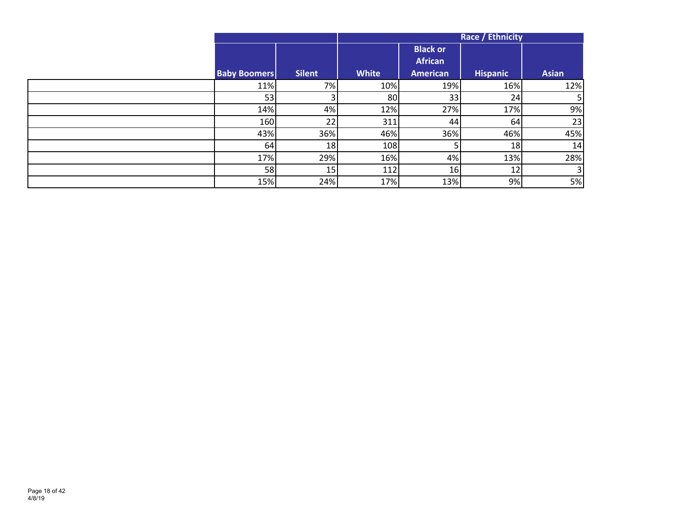|                     |               | <b>Race / Ethnicity</b> |                                                      |                 |                |  |
|---------------------|---------------|-------------------------|------------------------------------------------------|-----------------|----------------|--|
| <b>Baby Boomers</b> | <b>Silent</b> | <b>White</b>            | <b>Black or</b><br><b>African</b><br><b>American</b> | <b>Hispanic</b> | <b>Asian</b>   |  |
| 11%                 | 7%            | 10%                     | 19%                                                  | 16%             | 12%            |  |
| 53                  |               | 80 <sup>1</sup>         | 33                                                   | 24              | 5 <sub>1</sub> |  |
| 14%                 | 4%            | 12%                     | 27%                                                  | 17%             | 9%             |  |
| 160                 | 22            | 311                     | 44                                                   | 64              | 23             |  |
| 43%                 | 36%           | 46%                     | 36%                                                  | 46%             | 45%            |  |
| 64                  | 18            | 108                     |                                                      | 18              | 14             |  |
| 17%                 | 29%           | 16%                     | 4%                                                   | 13%             | 28%            |  |
| 58                  | 15            | 112                     | 16                                                   | 12              | $\overline{3}$ |  |
| 15%                 | 24%           | 17%                     | 13%                                                  | 9%              | 5%             |  |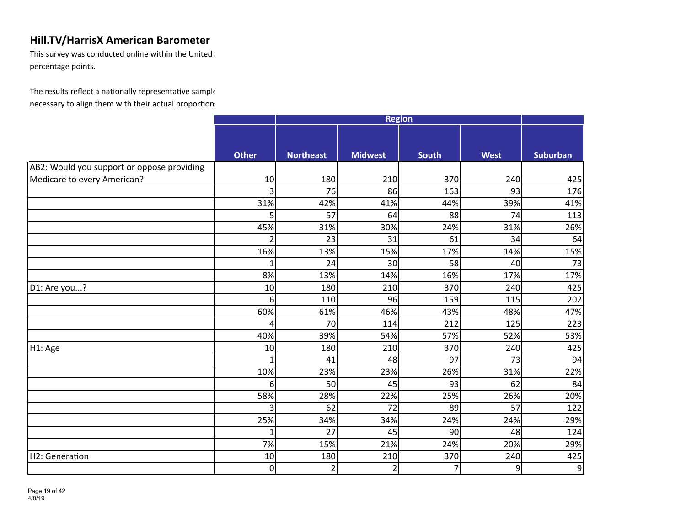This survey was conducted online within the United  $\mathbb I$ percentage points.

|                                            | <b>Region</b> |                  |                |                |             |                 |  |
|--------------------------------------------|---------------|------------------|----------------|----------------|-------------|-----------------|--|
|                                            |               |                  |                |                |             |                 |  |
|                                            |               |                  |                |                |             |                 |  |
|                                            | <b>Other</b>  | <b>Northeast</b> | <b>Midwest</b> | <b>South</b>   | <b>West</b> | <b>Suburban</b> |  |
| AB2: Would you support or oppose providing |               |                  |                |                |             |                 |  |
| Medicare to every American?                | 10            | 180              | 210            | 370            | 240         | 425             |  |
|                                            | 3             | 76               | 86             | 163            | 93          | 176             |  |
|                                            | 31%           | 42%              | 41%            | 44%            | 39%         | 41%             |  |
|                                            | 5             | 57               | 64             | 88             | 74          | 113             |  |
|                                            | 45%           | 31%              | 30%            | 24%            | 31%         | 26%             |  |
|                                            | 2             | 23               | 31             | 61             | 34          | 64              |  |
|                                            | 16%           | 13%              | 15%            | 17%            | 14%         | 15%             |  |
|                                            | 1             | 24               | 30             | 58             | 40          | 73              |  |
|                                            | 8%            | 13%              | 14%            | 16%            | 17%         | 17%             |  |
| D1: Are you?                               | 10            | 180              | 210            | 370            | 240         | 425             |  |
|                                            | 6             | 110              | 96             | 159            | 115         | 202             |  |
|                                            | 60%           | 61%              | 46%            | 43%            | 48%         | 47%             |  |
|                                            | Δ             | 70               | 114            | 212            | 125         | 223             |  |
|                                            | 40%           | 39%              | 54%            | 57%            | 52%         | 53%             |  |
| H1: Age                                    | 10            | 180              | 210            | 370            | 240         | 425             |  |
|                                            | 1             | 41               | 48             | 97             | 73          | 94              |  |
|                                            | 10%           | 23%              | 23%            | 26%            | 31%         | 22%             |  |
|                                            | 6             | 50               | 45             | 93             | 62          | 84              |  |
|                                            | 58%           | 28%              | 22%            | 25%            | 26%         | 20%             |  |
|                                            | 3             | 62               | 72             | 89             | 57          | 122             |  |
|                                            | 25%           | 34%              | 34%            | 24%            | 24%         | 29%             |  |
|                                            | 1             | 27               | 45             | 90             | 48          | 124             |  |
|                                            | 7%            | 15%              | 21%            | 24%            | 20%         | 29%             |  |
| H2: Generation                             | 10            | 180              | 210            | 370            | 240         | 425             |  |
|                                            | $\mathbf 0$   | $\overline{2}$   | 2              | $\overline{7}$ | 9           | 9               |  |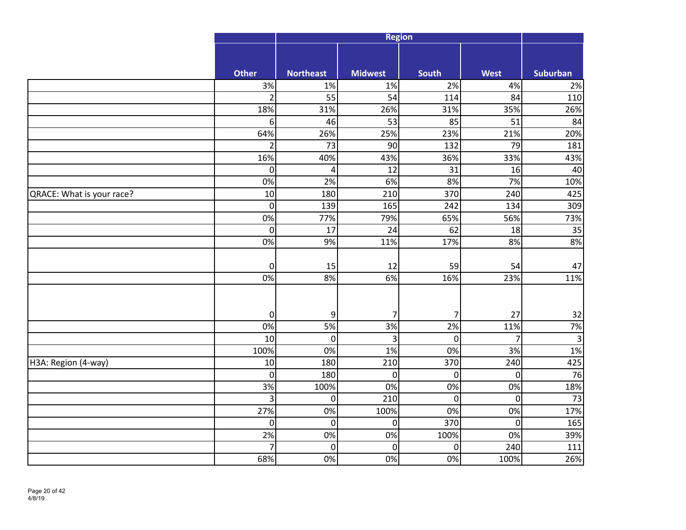|                           |                  |                  | <b>Region</b>   |                  |                |                 |
|---------------------------|------------------|------------------|-----------------|------------------|----------------|-----------------|
|                           |                  |                  |                 |                  |                |                 |
|                           | <b>Other</b>     | <b>Northeast</b> | <b>Midwest</b>  | South            | West           | <b>Suburban</b> |
|                           | 3%               | 1%               | 1%              | 2%               | 4%             | 2%              |
|                           | $\overline{2}$   | 55               | $\overline{54}$ | 114              | 84             | 110             |
|                           | 18%              | 31%              | 26%             | 31%              | 35%            | 26%             |
|                           | 6                | 46               | 53              | 85               | 51             | 84              |
|                           | 64%              | 26%              | 25%             | 23%              | 21%            | 20%             |
|                           | $\overline{2}$   | 73               | 90              | 132              | 79             | 181             |
|                           | 16%              | 40%              | 43%             | 36%              | 33%            | 43%             |
|                           | $\mathbf 0$      | $\overline{4}$   | 12              | 31               | 16             | 40              |
|                           | 0%               | 2%               | 6%              | 8%               | 7%             | 10%             |
| QRACE: What is your race? | 10               | 180              | 210             | 370              | 240            | 425             |
|                           | $\mathbf 0$      | $\overline{139}$ | 165             | 242              | 134            | 309             |
|                           | 0%               | 77%              | 79%             | 65%              | 56%            | 73%             |
|                           | $\mathbf 0$      | 17               | 24              | 62               | 18             | 35              |
|                           | 0%               | 9%               | 11%             | 17%              | 8%             | 8%              |
|                           |                  |                  |                 |                  |                |                 |
|                           | $\boldsymbol{0}$ | 15               | 12              | 59               | 54             | 47              |
|                           | 0%               | 8%               | 6%              | 16%              | 23%            | 11%             |
|                           |                  |                  |                 |                  |                |                 |
|                           |                  |                  |                 |                  |                |                 |
|                           | $\mathbf 0$      | 9                | 7               | $\overline{7}$   | 27             | 32              |
|                           | 0%               | 5%               | 3%              | 2%               | 11%            | 7%              |
|                           | 10               | $\boldsymbol{0}$ | 3               | $\boldsymbol{0}$ | $\overline{7}$ | 3               |
|                           | 100%             | 0%               | 1%              | 0%               | 3%             | 1%              |
| H3A: Region (4-way)       | 10               | 180              | 210             | 370              | 240            | 425             |
|                           | $\mathbf 0$      | 180              | $\overline{0}$  | $\boldsymbol{0}$ | $\overline{0}$ | $\overline{76}$ |
|                           | 3%               | 100%             | 0%              | 0%               | 0%             | 18%             |
|                           | 3                | $\pmb{0}$        | 210             | $\pmb{0}$        | $\pmb{0}$      | 73              |
|                           | 27%              | 0%               | 100%            | 0%               | 0%             | 17%             |
|                           | $\pmb{0}$        | $\pmb{0}$        | $\mathbf 0$     | 370              | $\pmb{0}$      | 165             |
|                           | 2%               | 0%               | 0%              | 100%             | 0%             | 39%             |
|                           | $\overline{7}$   | $\boldsymbol{0}$ | $\overline{0}$  | $\mathbf 0$      | 240            | 111             |
|                           | 68%              | 0%               | 0%              | 0%               | 100%           | 26%             |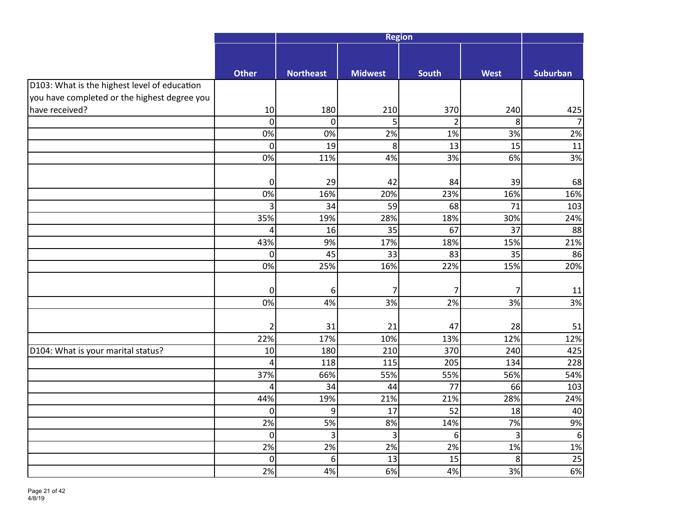|                                              |                  |                  | <b>Region</b>   |                  |                |                 |
|----------------------------------------------|------------------|------------------|-----------------|------------------|----------------|-----------------|
|                                              |                  |                  |                 |                  |                |                 |
|                                              |                  |                  |                 |                  |                |                 |
|                                              | <b>Other</b>     | <b>Northeast</b> | <b>Midwest</b>  | <b>South</b>     | <b>West</b>    | <b>Suburban</b> |
| D103: What is the highest level of education |                  |                  |                 |                  |                |                 |
| you have completed or the highest degree you |                  |                  |                 |                  |                |                 |
| have received?                               | 10               | 180              | 210             | 370              | 240            | 425             |
|                                              | $\mathbf 0$      | $\overline{0}$   | 5 <sup>1</sup>  | $\overline{2}$   | 8              |                 |
|                                              | 0%               | 0%               | 2%              | 1%               | 3%             | 2%              |
|                                              | $\mathbf 0$      | 19               | 8               | 13               | 15             | 11              |
|                                              | 0%               | 11%              | 4%              | 3%               | 6%             | 3%              |
|                                              |                  |                  |                 |                  |                |                 |
|                                              | $\pmb{0}$        | 29               | 42              | 84               | 39             | 68              |
|                                              | 0%               | 16%              | 20%             | 23%              | 16%            | 16%             |
|                                              | $\overline{3}$   | 34               | 59              | 68               | 71             | 103             |
|                                              | 35%              | 19%              | 28%             | 18%              | 30%            | 24%             |
|                                              | $\overline{4}$   | 16               | $\overline{35}$ | 67               | 37             | 88              |
|                                              | 43%              | 9%               | 17%             | 18%              | 15%            | 21%             |
|                                              | $\pmb{0}$        | 45               | 33              | 83               | 35             | 86              |
|                                              | 0%               | 25%              | 16%             | 22%              | 15%            | 20%             |
|                                              |                  |                  |                 |                  |                |                 |
|                                              | $\pmb{0}$        | 6                | 7               | 7                | $\overline{7}$ | 11              |
|                                              | $\overline{0\%}$ | 4%               | 3%              | 2%               | 3%             | 3%              |
|                                              |                  |                  |                 |                  |                |                 |
|                                              | $\overline{2}$   | 31               | 21              | 47               | 28             | 51              |
|                                              | 22%              | 17%              | 10%             | 13%              | 12%            | 12%             |
| D104: What is your marital status?           | 10               | 180              | 210             | 370              | 240            | 425             |
|                                              | $\overline{4}$   | 118              | 115             | 205              | 134            | 228             |
|                                              | 37%              | 66%              | 55%             | 55%              | 56%            | 54%             |
|                                              | 4                | 34               | 44              | 77               | 66             | 103             |
|                                              | 44%              | 19%              | 21%             | 21%              | 28%            | 24%             |
|                                              | $\pmb{0}$        | 9                | 17              | 52               | 18             | 40              |
|                                              | 2%               | 5%               | 8%              | 14%              | 7%             | 9%              |
|                                              | $\pmb{0}$        | 3                | 3               | $\boldsymbol{6}$ | 3              | 6               |
|                                              | 2%               | 2%               | 2%              | 2%               | 1%             | 1%              |
|                                              | $\pmb{0}$        | 6                | 13              | 15               | 8              | 25              |
|                                              | 2%               | 4%               | 6%              | 4%               | 3%             | 6%              |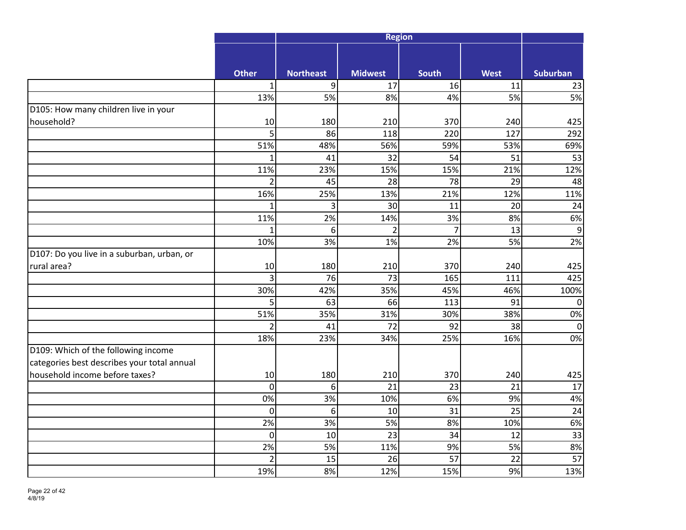|                                             |                         |                  | <b>Region</b>   |                 |                 |                 |
|---------------------------------------------|-------------------------|------------------|-----------------|-----------------|-----------------|-----------------|
|                                             |                         |                  |                 |                 |                 |                 |
|                                             | <b>Other</b>            | <b>Northeast</b> | <b>Midwest</b>  | <b>South</b>    | <b>West</b>     | <b>Suburban</b> |
|                                             | $\mathbf{1}$            | 9                | 17              | 16              | 11              | 23              |
|                                             | 13%                     | 5%               | 8%              | 4%              | 5%              | 5%              |
| D105: How many children live in your        |                         |                  |                 |                 |                 |                 |
| household?                                  | 10                      | 180              | 210             | 370             | 240             | 425             |
|                                             | 5                       | 86               | 118             | 220             | 127             | 292             |
|                                             | 51%                     | 48%              | 56%             | 59%             | 53%             | 69%             |
|                                             | $\mathbf{1}$            | 41               | $\overline{32}$ | 54              | 51              | 53              |
|                                             | 11%                     | 23%              | 15%             | 15%             | 21%             | 12%             |
|                                             | $\overline{2}$          | 45               | 28              | $\overline{78}$ | 29              | 48              |
|                                             | 16%                     | 25%              | 13%             | 21%             | 12%             | 11%             |
|                                             | $\mathbf{1}$            | 3                | 30              | 11              | 20              | 24              |
|                                             | 11%                     | 2%               | 14%             | 3%              | 8%              | 6%              |
|                                             | $\mathbf{1}$            | 6                | $\overline{2}$  | $\overline{7}$  | 13              | 9               |
|                                             | 10%                     | 3%               | 1%              | 2%              | 5%              | 2%              |
| D107: Do you live in a suburban, urban, or  |                         |                  |                 |                 |                 |                 |
| rural area?                                 | 10                      | 180              | 210             | 370             | 240             | 425             |
|                                             | $\overline{\mathbf{3}}$ | 76               | 73              | 165             | 111             | 425             |
|                                             | 30%                     | 42%              | 35%             | 45%             | 46%             | 100%            |
|                                             | 5                       | 63               | 66              | 113             | 91              | $\Omega$        |
|                                             | 51%                     | 35%              | 31%             | 30%             | 38%             | 0%              |
|                                             | $\overline{2}$          | 41               | 72              | 92              | 38              | $\Omega$        |
|                                             | 18%                     | 23%              | 34%             | 25%             | 16%             | 0%              |
| D109: Which of the following income         |                         |                  |                 |                 |                 |                 |
| categories best describes your total annual |                         |                  |                 |                 |                 |                 |
| household income before taxes?              | 10                      | 180              | 210             | 370             | 240             | 425             |
|                                             | $\overline{0}$          | 6                | 21              | 23              | 21              | 17              |
|                                             | 0%                      | 3%               | 10%             | 6%              | 9%              | 4%              |
|                                             | $\mathbf 0$             | 6                | 10              | 31              | $\overline{25}$ | 24              |
|                                             | 2%                      | 3%               | 5%              | 8%              | 10%             | 6%              |
|                                             | $\mathbf 0$             | 10               | 23              | 34              | 12              | 33              |
|                                             | 2%                      | 5%               | 11%             | 9%              | 5%              | 8%              |
|                                             | $\overline{2}$          | 15               | 26              | 57              | 22              | 57              |
|                                             | 19%                     | 8%               | 12%             | 15%             | 9%              | 13%             |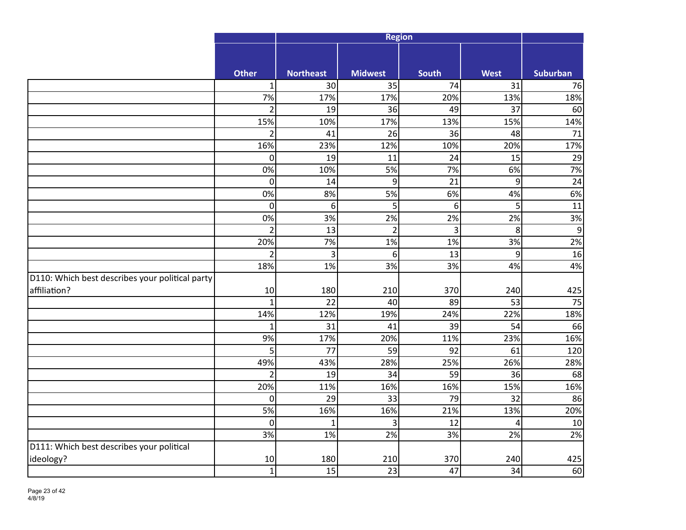|                                                 |                |                  | <b>Region</b>  |                 |                |                 |
|-------------------------------------------------|----------------|------------------|----------------|-----------------|----------------|-----------------|
|                                                 |                |                  |                |                 |                |                 |
|                                                 | <b>Other</b>   | <b>Northeast</b> | <b>Midwest</b> | South           | <b>West</b>    | <b>Suburban</b> |
|                                                 | $\mathbf{1}$   | 30 <sup>1</sup>  | 35             | 74              | 31             | 76              |
|                                                 | 7%             | 17%              | 17%            | 20%             | 13%            | 18%             |
|                                                 | $\overline{2}$ | 19               | 36             | 49              | 37             | 60              |
|                                                 | 15%            | 10%              | 17%            | 13%             | 15%            | 14%             |
|                                                 | $\overline{2}$ | 41               | 26             | 36              | 48             | 71              |
|                                                 | 16%            | 23%              | 12%            | 10%             | 20%            | 17%             |
|                                                 | $\pmb{0}$      | 19               | 11             | 24              | 15             | 29              |
|                                                 | 0%             | 10%              | 5%             | 7%              | 6%             | 7%              |
|                                                 | $\mathbf 0$    | 14               | 9              | 21              | $\overline{9}$ | 24              |
|                                                 | 0%             | 8%               | 5%             | 6%              | 4%             | 6%              |
|                                                 | $\pmb{0}$      | 6                | 5              | $6\phantom{1}6$ | 5              | 11              |
|                                                 | 0%             | 3%               | 2%             | 2%              | 2%             | 3%              |
|                                                 | $\overline{2}$ | 13               | $\overline{2}$ | 3               | 8              | 9               |
|                                                 | 20%            | 7%               | 1%             | 1%              | 3%             | 2%              |
|                                                 | $\overline{2}$ | $\overline{3}$   | 6              | 13              | $\overline{9}$ | 16              |
|                                                 | 18%            | 1%               | 3%             | 3%              | 4%             | 4%              |
| D110: Which best describes your political party |                |                  |                |                 |                |                 |
| affiliation?                                    | 10             | 180              | 210            | 370             | 240            | 425             |
|                                                 | $\mathbf{1}$   | 22               | 40             | 89              | 53             | 75              |
|                                                 | 14%            | 12%              | 19%            | 24%             | 22%            | 18%             |
|                                                 | $\mathbf{1}$   | 31               | 41             | 39              | 54             | 66              |
|                                                 | 9%             | 17%              | 20%            | 11%             | 23%            | 16%             |
|                                                 | 5              | 77               | 59             | 92              | 61             | 120             |
|                                                 | 49%            | 43%              | 28%            | 25%             | 26%            | 28%             |
|                                                 | $\overline{2}$ | 19               | 34             | 59              | 36             | 68              |
|                                                 | 20%            | 11%              | 16%            | 16%             | 15%            | 16%             |
|                                                 | $\mathbf 0$    | 29               | 33             | 79              | 32             | 86              |
|                                                 | 5%             | 16%              | 16%            | 21%             | 13%            | 20%             |
|                                                 | $\mathbf 0$    | $\mathbf{1}$     | 3              | 12              | $\overline{4}$ | 10              |
|                                                 | 3%             | 1%               | 2%             | 3%              | 2%             | 2%              |
| D111: Which best describes your political       |                |                  |                |                 |                |                 |
| ideology?                                       | 10             | 180              | 210            | 370             | 240            | 425             |
|                                                 | $\mathbf{1}$   | 15               | 23             | 47              | 34             | 60              |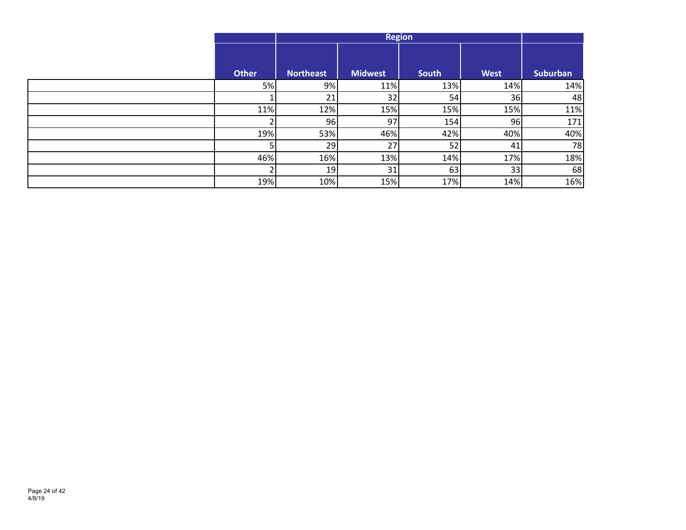|                |                  | <b>Region</b>  |       |             |          |  |  |
|----------------|------------------|----------------|-------|-------------|----------|--|--|
| <b>Other</b>   | <b>Northeast</b> | <b>Midwest</b> | South | <b>West</b> | Suburban |  |  |
| 5%             | 9%               | 11%            | 13%   | 14%         | 14%      |  |  |
|                | 21               | 32             | 54    | 36          | 48       |  |  |
| 11%            | 12%              | 15%            | 15%   | 15%         | 11%      |  |  |
| C.             | 96               | 97             | 154   | 96          | 171      |  |  |
| 19%            | 53%              | 46%            | 42%   | 40%         | 40%      |  |  |
| 5              | 29               | 27             | 52    | 41          | 78       |  |  |
| 46%            | 16%              | 13%            | 14%   | 17%         | 18%      |  |  |
| $\overline{2}$ | 19               | 31             | 63    | 33          | 68       |  |  |
| 19%            | 10%              | 15%            | 17%   | 14%         | 16%      |  |  |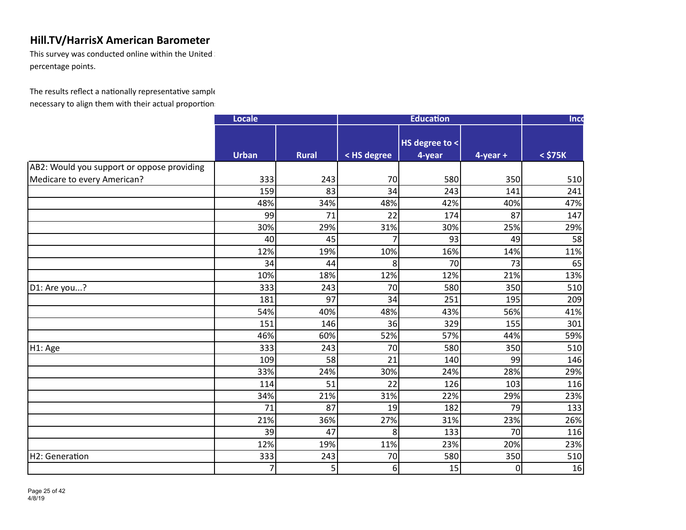This survey was conducted online within the United  $\mathbb I$ percentage points.

|                                            | Locale       |              |             | <b>Education</b> |             | Inco         |
|--------------------------------------------|--------------|--------------|-------------|------------------|-------------|--------------|
|                                            | <b>Urban</b> | <b>Rural</b> |             | HS degree to <   |             | $<$ \$75 $K$ |
|                                            |              |              | < HS degree | 4-year           | $4$ -year + |              |
| AB2: Would you support or oppose providing | 333          | 243          | 70          | 580              | 350         |              |
| Medicare to every American?                | 159          | 83           | 34          | 243              | 141         | 510<br>241   |
|                                            | 48%          | 34%          | 48%         | 42%              | 40%         | 47%          |
|                                            | 99           | 71           | 22          | 174              | 87          | 147          |
|                                            | 30%          | 29%          | 31%         | 30%              | 25%         | 29%          |
|                                            | 40           | 45           | 7           | 93               | 49          | 58           |
|                                            | 12%          | 19%          | 10%         | 16%              | 14%         | 11%          |
|                                            | 34           | 44           | 8           | 70               | 73          | 65           |
|                                            | 10%          | 18%          | 12%         | 12%              | 21%         | 13%          |
| D1: Are you?                               | 333          | 243          | 70          | 580              | 350         | 510          |
|                                            | 181          | 97           | 34          | 251              | 195         | 209          |
|                                            | 54%          | 40%          | 48%         | 43%              | 56%         | 41%          |
|                                            | 151          | 146          | 36          | 329              | 155         | 301          |
|                                            | 46%          | 60%          | 52%         | 57%              | 44%         | 59%          |
|                                            | 333          | 243          | 70          | 580              | 350         | 510          |
| H1: Age                                    | 109          | 58           | 21          | 140              | 99          | 146          |
|                                            | 33%          | 24%          | 30%         | 24%              | 28%         | 29%          |
|                                            | 114          | 51           | 22          | 126              | 103         | 116          |
|                                            | 34%          | 21%          | 31%         | 22%              | 29%         | 23%          |
|                                            | 71           | 87           | 19          | 182              | 79          | 133          |
|                                            | 21%          | 36%          | 27%         | 31%              | 23%         | 26%          |
|                                            | 39           | 47           | 8           | 133              | 70          | 116          |
|                                            |              |              |             |                  |             |              |
|                                            | 12%          | 19%          | 11%         | 23%              | 20%         | 23%          |
| H2: Generation                             | 333          | 243          | 70          | 580              | 350         | 510          |
|                                            | 7            | 5            | 6           | 15               | $\mathbf 0$ | 16           |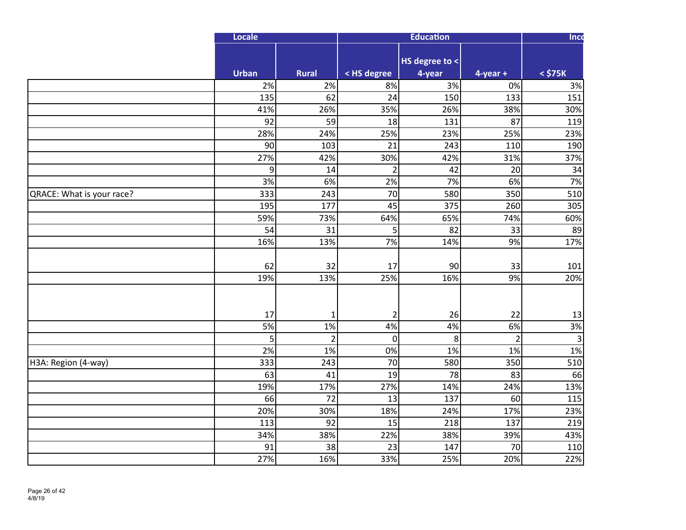|                           | Locale      |                    |                   | <b>Education</b> |                   | Inco         |
|---------------------------|-------------|--------------------|-------------------|------------------|-------------------|--------------|
|                           |             |                    |                   | HS degree to <   |                   |              |
|                           | Urban<br>2% | <b>Rural</b><br>2% | < HS degree<br>8% | 4-year<br>3%     | $4$ -year +<br>0% | $<$ \$75 $K$ |
|                           | 135         | 62                 | 24                | 150              | 133               | 3%<br>151    |
|                           | 41%         | 26%                | 35%               | 26%              | 38%               | 30%          |
|                           | 92          | 59                 | 18                | 131              | 87                | 119          |
|                           | 28%         | 24%                | 25%               | 23%              | 25%               | 23%          |
|                           | 90          | 103                | 21                | 243              | 110               | 190          |
|                           | 27%         | 42%                | 30%               | 42%              | 31%               | 37%          |
|                           | 9           | 14                 | $\overline{2}$    | 42               | 20                | 34           |
|                           | 3%          | 6%                 | 2%                | 7%               | 6%                | 7%           |
| QRACE: What is your race? | 333         | 243                | 70                | 580              | 350               | 510          |
|                           | 195         | 177                | 45                | 375              | 260               | 305          |
|                           | 59%         | 73%                | 64%               | 65%              | 74%               | 60%          |
|                           | 54          | 31                 | 5                 | 82               | 33                | 89           |
|                           | 16%         | 13%                | 7%                | 14%              | 9%                | 17%          |
|                           | 62          | 32                 | 17                | 90               | 33                | 101          |
|                           | 19%         | 13%                | 25%               | 16%              | 9%                | 20%          |
|                           | 17          | 1                  | $\overline{2}$    | 26               | 22                | 13           |
|                           | 5%          | 1%                 | 4%                | 4%               | 6%                | 3%           |
|                           | 5           | $\overline{2}$     | $\mathbf 0$       | 8                | $\overline{2}$    | 3            |
|                           | 2%          | 1%                 | 0%                | 1%               | 1%                | 1%           |
| H3A: Region (4-way)       | 333         | 243                | 70                | 580              | 350               | 510          |
|                           | 63          | 41                 | 19                | 78               | 83                | 66           |
|                           | 19%         | 17%                | 27%               | 14%              | 24%               | 13%          |
|                           | 66          | 72                 | 13                | 137              | 60                | 115          |
|                           | 20%         | 30%                | 18%               | 24%              | 17%               | 23%          |
|                           | 113         | 92                 | 15                | 218              | 137               | 219          |
|                           | 34%         | 38%                | 22%               | 38%              | 39%               | 43%          |
|                           | 91          | 38                 | 23                | 147              | 70                | 110          |
|                           | 27%         | 16%                | 33%               | 25%              | 20%               | 22%          |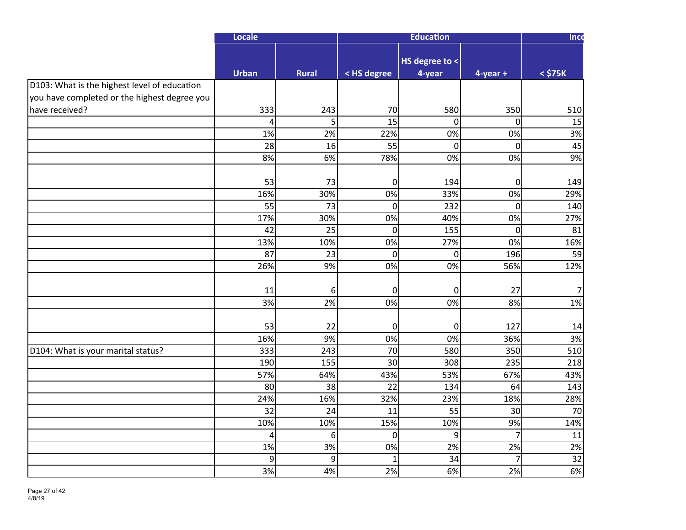|                                              | Locale       |                |                 | <b>Education</b>         |                | Inco         |
|----------------------------------------------|--------------|----------------|-----------------|--------------------------|----------------|--------------|
|                                              | <b>Urban</b> | <b>Rural</b>   | < HS degree     | HS degree to <<br>4-year | $4$ -year +    | $<$ \$75 $K$ |
| D103: What is the highest level of education |              |                |                 |                          |                |              |
| you have completed or the highest degree you |              |                |                 |                          |                |              |
| have received?                               | 333          | 243            | 70              | 580                      | 350            | 510          |
|                                              | 4            | 5 <sup>1</sup> | $\overline{15}$ | $\overline{0}$           | $\overline{0}$ | 15           |
|                                              | 1%           | 2%             | 22%             | 0%                       | 0%             | 3%           |
|                                              | 28           | 16             | $\overline{55}$ | $\overline{0}$           | $\mathbf 0$    | 45           |
|                                              | 8%           | 6%             | 78%             | 0%                       | 0%             | 9%           |
|                                              |              |                |                 |                          |                |              |
|                                              | 53           | 73             | $\pmb{0}$       | 194                      | $\mathbf 0$    | 149          |
|                                              | 16%          | 30%            | 0%              | 33%                      | 0%             | 29%          |
|                                              | 55           | 73             | $\mathbf 0$     | 232                      | $\mathbf 0$    | 140          |
|                                              | 17%          | 30%            | 0%              | 40%                      | 0%             | 27%          |
|                                              | 42           | 25             | $\mathbf 0$     | 155                      | $\mathbf 0$    | 81           |
|                                              | 13%          | 10%            | 0%              | 27%                      | 0%             | 16%          |
|                                              | 87           | 23             | $\mathbf 0$     | $\overline{0}$           | 196            | 59           |
|                                              | 26%          | 9%             | 0%              | 0%                       | 56%            | 12%          |
|                                              |              |                |                 |                          |                |              |
|                                              | 11           | 6              | $\mathbf 0$     | $\mathbf 0$              | 27             | 7            |
|                                              | 3%           | 2%             | 0%              | 0%                       | 8%             | 1%           |
|                                              |              |                |                 |                          |                |              |
|                                              | 53           | 22             | 0               | 0                        | 127            | 14           |
|                                              | 16%          | 9%             | 0%              | 0%                       | 36%            | 3%           |
| D104: What is your marital status?           | 333          | 243            | 70              | 580                      | 350            | 510          |
|                                              | 190          | 155            | 30              | 308                      | 235            | 218          |
|                                              | 57%          | 64%            | 43%             | 53%                      | 67%            | 43%          |
|                                              | 80           | 38             | 22              | 134                      | 64             | 143          |
|                                              | 24%          | 16%            | 32%             | 23%                      | 18%            | 28%          |
|                                              | 32           | 24             | 11              | 55                       | 30             | 70           |
|                                              | 10%          | 10%            | 15%             | 10%                      | 9%             | 14%          |
|                                              | 4            | 6              | 0               | $\overline{9}$           | $\overline{7}$ | 11           |
|                                              | 1%           | 3%             | 0%              | 2%                       | 2%             | 2%           |
|                                              | 9            | $\overline{9}$ | $\mathbf{1}$    | 34                       | $\overline{7}$ | 32           |
|                                              | 3%           | 4%             | 2%              | 6%                       | 2%             | 6%           |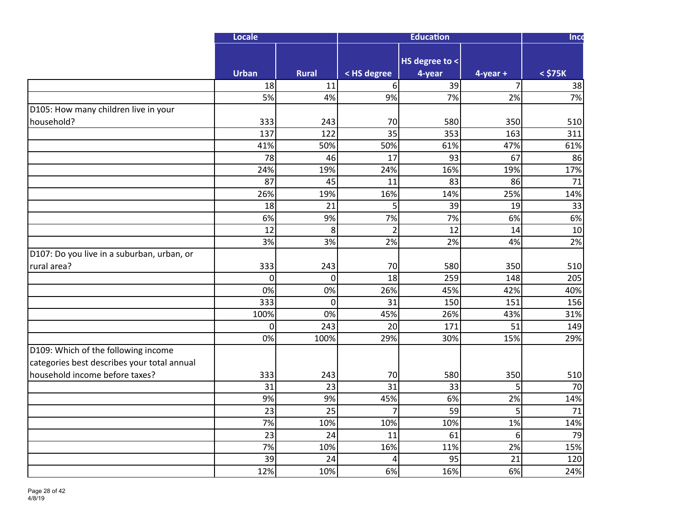|                                             | <b>Locale</b>   |                 |                 | <b>Education</b>         |                | <b>Inco</b>  |
|---------------------------------------------|-----------------|-----------------|-----------------|--------------------------|----------------|--------------|
|                                             | <b>Urban</b>    | <b>Rural</b>    | < HS degree     | HS degree to <<br>4-year | $4$ -year +    | $<$ \$75 $K$ |
|                                             | 18              | 11              | 6               | 39                       | $\overline{7}$ | 38           |
|                                             | 5%              | 4%              | 9%              | 7%                       | 2%             | 7%           |
| D105: How many children live in your        |                 |                 |                 |                          |                |              |
| household?                                  | 333             | 243             | 70              | 580                      | 350            | 510          |
|                                             | 137             | 122             | 35              | 353                      | 163            | 311          |
|                                             | 41%             | 50%             | 50%             | 61%                      | 47%            | 61%          |
|                                             | $\overline{78}$ | 46              | $\overline{17}$ | 93                       | 67             | 86           |
|                                             | 24%             | 19%             | 24%             | 16%                      | 19%            | 17%          |
|                                             | 87              | 45              | 11              | 83                       | 86             | 71           |
|                                             | 26%             | 19%             | 16%             | 14%                      | 25%            | 14%          |
|                                             | 18              | 21              | 5               | 39                       | 19             | 33           |
|                                             | 6%              | 9%              | 7%              | 7%                       | 6%             | 6%           |
|                                             | 12              | 8               | $\overline{2}$  | 12                       | 14             | 10           |
|                                             | 3%              | 3%              | 2%              | 2%                       | 4%             | 2%           |
| D107: Do you live in a suburban, urban, or  |                 |                 |                 |                          |                |              |
| rural area?                                 | 333             | 243             | 70              | 580                      | 350            | 510          |
|                                             | $\mathbf 0$     | $\mathbf 0$     | 18              | 259                      | 148            | 205          |
|                                             | 0%              | 0%              | 26%             | 45%                      | 42%            | 40%          |
|                                             | 333             | $\overline{0}$  | 31              | 150                      | 151            | 156          |
|                                             | 100%            | 0%              | 45%             | 26%                      | 43%            | 31%          |
|                                             | $\mathbf 0$     | 243             | 20              | 171                      | 51             | 149          |
|                                             | 0%              | 100%            | 29%             | 30%                      | 15%            | 29%          |
| D109: Which of the following income         |                 |                 |                 |                          |                |              |
| categories best describes your total annual |                 |                 |                 |                          |                |              |
| household income before taxes?              | 333             | 243             | 70              | 580                      | 350            | 510          |
|                                             | 31              | 23              | 31              | 33                       | 5              | 70           |
|                                             | 9%              | 9%              | 45%             | 6%                       | 2%             | 14%          |
|                                             | $\overline{23}$ | $\overline{25}$ | $\overline{7}$  | 59                       | 5              | 71           |
|                                             | 7%              | 10%             | 10%             | 10%                      | 1%             | 14%          |
|                                             | 23              | 24              | 11              | 61                       | 6              | 79           |
|                                             | 7%              | 10%             | 16%             | 11%                      | 2%             | 15%          |
|                                             | 39              | 24              | 4               | 95                       | 21             | 120          |
|                                             | 12%             | 10%             | 6%              | 16%                      | 6%             | 24%          |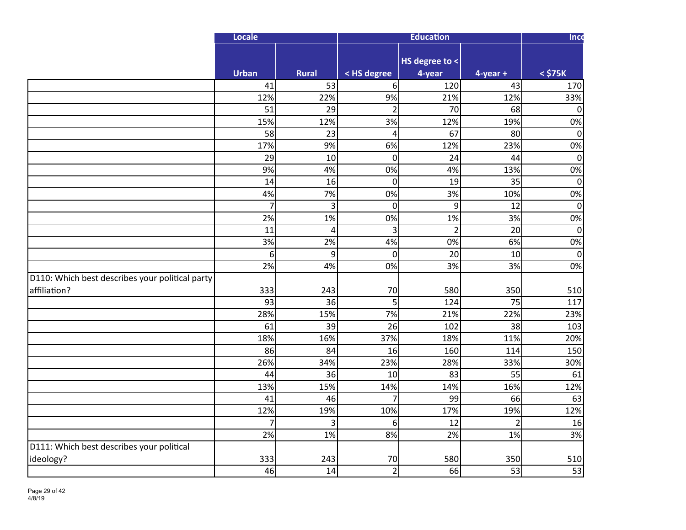|                                                 | Locale           |                |                  | <b>Education</b>         |                | Inco         |
|-------------------------------------------------|------------------|----------------|------------------|--------------------------|----------------|--------------|
|                                                 | <b>Urban</b>     | <b>Rural</b>   | < HS degree      | HS degree to <<br>4-year | $4$ -year +    | $<$ \$75 $K$ |
|                                                 | 41               | 53             | 6 <sup>1</sup>   | 120                      | 43             | 170          |
|                                                 | 12%              | 22%            | 9%               | 21%                      | 12%            | 33%          |
|                                                 | $\overline{51}$  | 29             | $\overline{2}$   | 70                       | 68             | $\Omega$     |
|                                                 | 15%              | 12%            | $\overline{3\%}$ | 12%                      | 19%            | 0%           |
|                                                 | 58               | 23             | 4                | 67                       | 80             | 0            |
|                                                 | 17%              | 9%             | 6%               | 12%                      | 23%            | 0%           |
|                                                 | 29               | 10             | $\overline{0}$   | 24                       | 44             | $\mathbf 0$  |
|                                                 | 9%               | 4%             | 0%               | 4%                       | 13%            | 0%           |
|                                                 | 14               | 16             | $\mathbf 0$      | 19                       | 35             | $\mathbf 0$  |
|                                                 | 4%               | 7%             | 0%               | 3%                       | 10%            | 0%           |
|                                                 | $\overline{7}$   | 3              | $\mathbf 0$      | 9                        | 12             | $\mathbf 0$  |
|                                                 | 2%               | 1%             | 0%               | 1%                       | 3%             | 0%           |
|                                                 | 11               | $\overline{4}$ | 3                | $\overline{2}$           | 20             | $\mathbf 0$  |
|                                                 | $\overline{3\%}$ | 2%             | 4%               | 0%                       | 6%             | 0%           |
|                                                 | 6                | 9              | $\overline{0}$   | 20                       | 10             | $\mathbf 0$  |
|                                                 | 2%               | 4%             | 0%               | 3%                       | 3%             | 0%           |
| D110: Which best describes your political party |                  |                |                  |                          |                |              |
| affiliation?                                    | 333              | 243            | 70               | 580                      | 350            | 510          |
|                                                 | 93               | 36             | $\overline{5}$   | 124                      | 75             | 117          |
|                                                 | 28%              | 15%            | 7%               | 21%                      | 22%            | 23%          |
|                                                 | 61               | 39             | 26               | 102                      | 38             | 103          |
|                                                 | 18%              | 16%            | 37%              | 18%                      | 11%            | 20%          |
|                                                 | 86               | 84             | 16               | 160                      | 114            | 150          |
|                                                 | 26%              | 34%            | 23%              | 28%                      | 33%            | 30%          |
|                                                 | 44               | 36             | 10               | 83                       | 55             | 61           |
|                                                 | 13%              | 15%            | 14%              | 14%                      | 16%            | 12%          |
|                                                 | 41               | 46             | $\overline{7}$   | 99                       | 66             | 63           |
|                                                 | 12%              | 19%            | 10%              | 17%                      | 19%            | 12%          |
|                                                 | $\overline{7}$   | 3              | 6                | 12                       | $\overline{2}$ | 16           |
|                                                 | 2%               | 1%             | 8%               | 2%                       | 1%             | 3%           |
| D111: Which best describes your political       |                  |                |                  |                          |                |              |
| ideology?                                       | 333              | 243            | 70               | 580                      | 350            | 510          |
|                                                 | 46               | 14             | $\overline{2}$   | 66                       | 53             | 53           |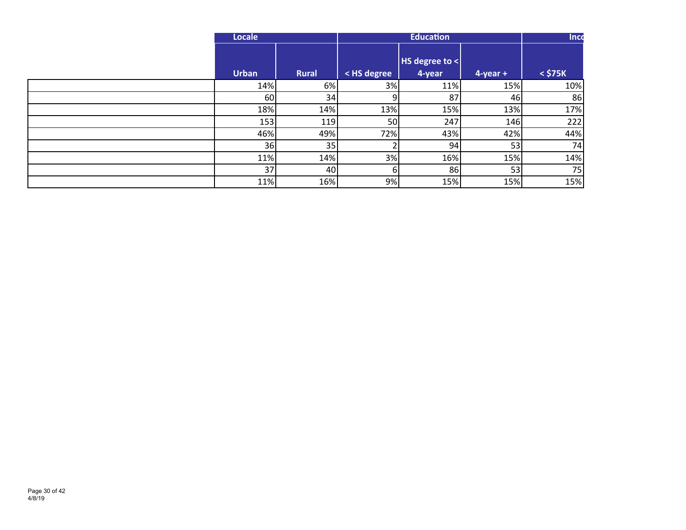| Locale       |              |             | <b>Education</b>         |               | Inco         |
|--------------|--------------|-------------|--------------------------|---------------|--------------|
| <b>Urban</b> | <b>Rural</b> | < HS degree | HS degree to <<br>4-year | $4$ -year $+$ | $<$ \$75 $K$ |
| 14%          | 6%           | 3%          | 11%                      | 15%           | 10%          |
| 60           | 34           | 9           | 87                       | 46            | 86           |
| 18%          | 14%          | 13%         | 15%                      | 13%           | 17%          |
| 153          | 119          | 50          | 247                      | 146           | 222          |
| 46%          | 49%          | 72%         | 43%                      | 42%           | 44%          |
| 36           | 35           |             | 94                       | 53            | 74           |
| 11%          | 14%          | 3%          | 16%                      | 15%           | 14%          |
| 37           | 40           | 6           | 86                       | 53            | 75           |
| 11%          | 16%          | 9%          | 15%                      | 15%           | 15%          |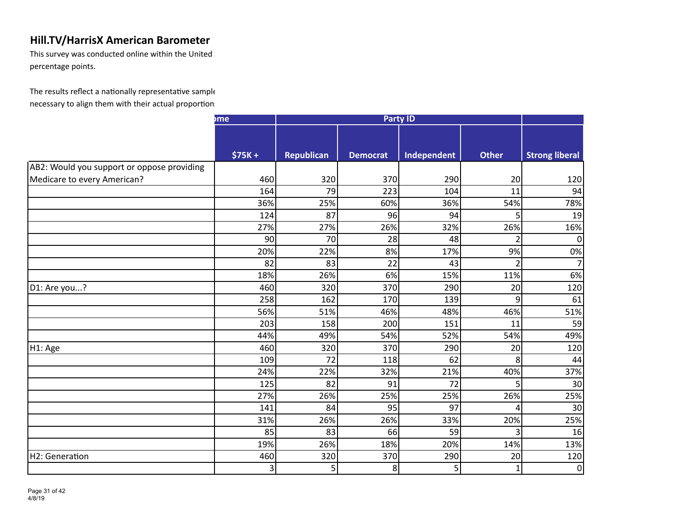This survey was conducted online within the United  $\mathbb I$ percentage points.

|                                            | <sub>me</sub> |                   | <b>Party ID</b> |             |                |                       |
|--------------------------------------------|---------------|-------------------|-----------------|-------------|----------------|-----------------------|
|                                            |               |                   |                 |             |                |                       |
|                                            |               |                   |                 |             |                |                       |
|                                            | $$75K +$      | <b>Republican</b> | <b>Democrat</b> | Independent | <b>Other</b>   | <b>Strong liberal</b> |
| AB2: Would you support or oppose providing |               |                   |                 |             |                |                       |
| Medicare to every American?                | 460           | 320               | 370             | 290         | 20             | 120                   |
|                                            | 164           | 79                | 223             | 104         | 11             | 94                    |
|                                            | 36%           | 25%               | 60%             | 36%         | 54%            | 78%                   |
|                                            | 124           | 87                | 96              | 94          | 5              | 19                    |
|                                            | 27%           | 27%               | 26%             | 32%         | 26%            | 16%                   |
|                                            | 90            | 70                | 28              | 48          | $\overline{2}$ |                       |
|                                            | 20%           | 22%               | 8%              | 17%         | 9%             | 0%                    |
|                                            | 82            | 83                | 22              | 43          | $\overline{2}$ |                       |
|                                            | 18%           | 26%               | 6%              | 15%         | 11%            | 6%                    |
| D1: Are you?                               | 460           | 320               | 370             | 290         | 20             | 120                   |
|                                            | 258           | 162               | 170             | 139         | $\overline{9}$ | 61                    |
|                                            | 56%           | 51%               | 46%             | 48%         | 46%            | 51%                   |
|                                            | 203           | 158               | 200             | 151         | 11             | 59                    |
|                                            | 44%           | 49%               | 54%             | 52%         | 54%            | 49%                   |
| H1: Age                                    | 460           | 320               | 370             | 290         | 20             | 120                   |
|                                            | 109           | 72                | 118             | 62          | 8              | 44                    |
|                                            | 24%           | 22%               | 32%             | 21%         | 40%            | 37%                   |
|                                            | 125           | 82                | 91              | 72          | 5              | 30                    |
|                                            | 27%           | 26%               | 25%             | 25%         | 26%            | 25%                   |
|                                            | 141           | 84                | 95              | 97          | 4              | 30                    |
|                                            | 31%           | 26%               | 26%             | 33%         | 20%            | 25%                   |
|                                            | 85            | 83                | 66              | 59          | 3              | 16                    |
|                                            | 19%           | 26%               | 18%             | 20%         | 14%            | 13%                   |
| H2: Generation                             | 460           | 320               | 370             | 290         | 20             | 120                   |
|                                            | 3             | 5                 | 8               | 5           | $\mathbf{1}$   | 0                     |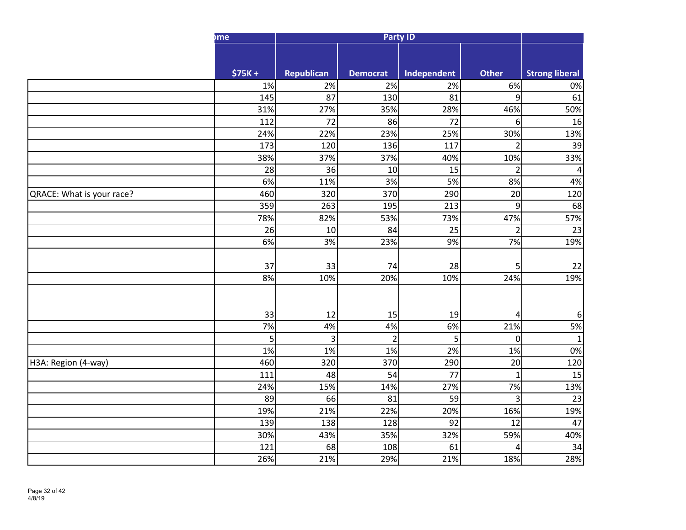|                           | <sub>me</sub>    |                 |                       | <b>Party ID</b>       |                      |                       |
|---------------------------|------------------|-----------------|-----------------------|-----------------------|----------------------|-----------------------|
|                           |                  |                 |                       |                       |                      |                       |
|                           |                  |                 |                       |                       |                      |                       |
|                           | $$75K +$<br>1%   | Republican      | <b>Democrat</b><br>2% | Independent           | <b>Other</b><br>6%   | <b>Strong liberal</b> |
|                           | 145              | 2%<br>87        | 130                   | 2%<br>$\overline{81}$ | $\overline{9}$       | 0%<br>61              |
|                           | 31%              | 27%             | 35%                   | 28%                   | 46%                  | 50%                   |
|                           | 112              | $\overline{72}$ | 86                    | $\overline{72}$       | 6                    | 16                    |
|                           | 24%              | 22%             | 23%                   | 25%                   | 30%                  | 13%                   |
|                           | 173              | 120             | 136                   | 117                   | $\overline{2}$       | 39                    |
|                           | 38%              | 37%             | 37%                   | 40%                   | 10%                  | 33%                   |
|                           | 28               | 36              | 10                    | 15                    | $\overline{2}$       | 4                     |
|                           | 6%               | 11%             | 3%                    | 5%                    | 8%                   | 4%                    |
| QRACE: What is your race? | 460              | 320             | 370                   | 290                   | $\overline{20}$      | 120                   |
|                           | 359              | 263             | 195                   | $\overline{213}$      | $\boldsymbol{9}$     | 68                    |
|                           | 78%              | 82%             | 53%                   | 73%                   | 47%                  | 57%                   |
|                           | 26               | 10              | 84                    | 25                    | $\overline{2}$       | 23                    |
|                           | 6%               | 3%              | 23%                   | 9%                    | 7%                   | 19%                   |
|                           |                  |                 |                       |                       |                      |                       |
|                           | 37               | 33              | 74                    | 28                    | 5                    | 22                    |
|                           | 8%               | 10%             | 20%                   | 10%                   | 24%                  | 19%                   |
|                           |                  |                 |                       |                       |                      |                       |
|                           |                  |                 |                       |                       |                      |                       |
|                           | 33               | 12              | 15                    | 19                    | 4                    | 6                     |
|                           | $\overline{7\%}$ | 4%              | 4%                    | 6%                    | 21%                  | 5%                    |
|                           | 5                | $\overline{3}$  | $\overline{2}$        | 5 <sup>1</sup>        | $\mathbf{0}$         | 1                     |
|                           | 1%               | 1%              | 1%                    | 2%                    | 1%                   | 0%                    |
| H3A: Region (4-way)       | 460              | 320             | 370                   | 290                   | 20                   | 120                   |
|                           | 111              | 48              | 54                    | 77                    | $\mathbf{1}$         | 15                    |
|                           | 24%<br>89        | 15%<br>66       | 14%<br>81             | 27%<br>59             | 7%<br>$\overline{3}$ | 13%<br>23             |
|                           | 19%              | 21%             | 22%                   | 20%                   | 16%                  | 19%                   |
|                           | 139              | 138             | 128                   | 92                    | 12                   | 47                    |
|                           | 30%              | 43%             | 35%                   | 32%                   | 59%                  | 40%                   |
|                           | 121              | 68              | 108                   | 61                    | 4                    | 34                    |
|                           | 26%              | 21%             | 29%                   | 21%                   | 18%                  | 28%                   |
|                           |                  |                 |                       |                       |                      |                       |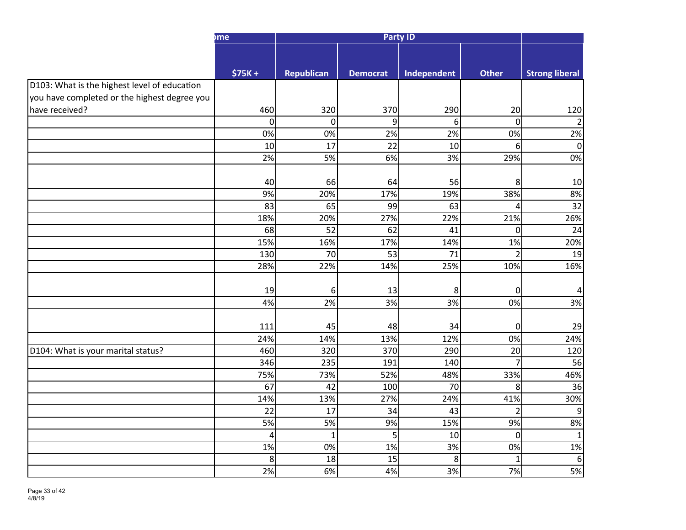|                                                                                              | <sub>me</sub>           |                   |                 | <b>Party ID</b>  |                      |                       |
|----------------------------------------------------------------------------------------------|-------------------------|-------------------|-----------------|------------------|----------------------|-----------------------|
|                                                                                              |                         |                   |                 |                  |                      |                       |
|                                                                                              |                         |                   |                 |                  |                      |                       |
|                                                                                              | $$75K +$                | <b>Republican</b> | <b>Democrat</b> | Independent      | <b>Other</b>         | <b>Strong liberal</b> |
| D103: What is the highest level of education<br>you have completed or the highest degree you |                         |                   |                 |                  |                      |                       |
|                                                                                              |                         |                   |                 |                  |                      |                       |
| have received?                                                                               | 460<br>$\boldsymbol{0}$ | 320<br> 0         | 370<br>9        | 290<br>6         | 20<br>$\overline{0}$ | 120<br>$\overline{2}$ |
|                                                                                              | $\overline{0\%}$        | $\overline{0\%}$  | 2%              | 2%               | $\overline{0\%}$     | 2%                    |
|                                                                                              | $10\,$                  | 17                | $\overline{22}$ | $10\,$           | $6 \mid$             | $\mathbf 0$           |
|                                                                                              | $\overline{2\%}$        | 5%                | 6%              | $\overline{3\%}$ | 29%                  | 0%                    |
|                                                                                              |                         |                   |                 |                  |                      |                       |
|                                                                                              | 40                      | 66                | 64              | 56               | 8                    | 10                    |
|                                                                                              | 9%                      | 20%               | 17%             | 19%              | 38%                  | 8%                    |
|                                                                                              | 83                      | 65                | 99              | 63               | 4                    | $\overline{32}$       |
|                                                                                              | 18%                     | 20%               | 27%             | 22%              | 21%                  | 26%                   |
|                                                                                              | 68                      | 52                | 62              | 41               | 0                    | 24                    |
|                                                                                              | 15%                     | 16%               | 17%             | 14%              | 1%                   | 20%                   |
|                                                                                              | 130                     | 70                | 53              | 71               | $\overline{2}$       | 19                    |
|                                                                                              | 28%                     | 22%               | 14%             | 25%              | 10%                  | 16%                   |
|                                                                                              |                         |                   |                 |                  |                      |                       |
|                                                                                              | 19                      | $6 \mid$          | 13              | 8                | $\overline{0}$       | 4                     |
|                                                                                              | 4%                      | 2%                | 3%              | 3%               | 0%                   | 3%                    |
|                                                                                              |                         |                   |                 |                  |                      |                       |
|                                                                                              | 111                     | 45                | 48              | 34               | $\overline{0}$       | 29                    |
|                                                                                              | 24%                     | 14%               | 13%             | 12%              | 0%                   | 24%                   |
| D104: What is your marital status?                                                           | 460                     | 320               | 370             | 290              | 20                   | 120                   |
|                                                                                              | 346                     | 235               | 191             | 140              | $\overline{7}$       | 56                    |
|                                                                                              | 75%                     | 73%               | 52%             | 48%              | 33%                  | 46%                   |
|                                                                                              | 67                      | 42                | 100             | 70               | 8                    | 36                    |
|                                                                                              | 14%                     | 13%               | 27%             | 24%              | 41%                  | 30%                   |
|                                                                                              | 22                      | 17                | 34              | 43               | $\overline{2}$       | 9                     |
|                                                                                              | 5%                      | 5%                | 9%              | 15%              | 9%                   | 8%                    |
|                                                                                              | $\overline{4}$          | $\mathbf 1$       | 5 <sup>1</sup>  | 10               | $\overline{0}$       | $\mathbf{1}$          |
|                                                                                              | 1%                      | 0%                | 1%              | 3%               | 0%                   | 1%                    |
|                                                                                              | 8                       | 18                | 15              | 8                | $\mathbf{1}$         | 6                     |
|                                                                                              | 2%                      | 6%                | 4%              | 3%               | 7%                   | 5%                    |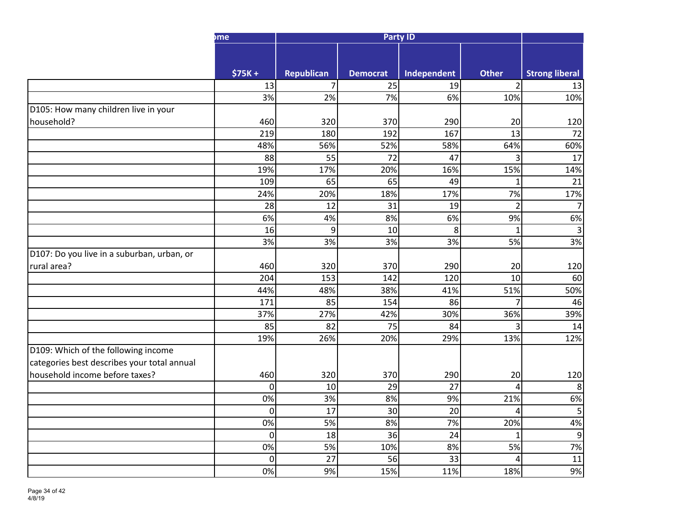|                                             | hme            |                   |                  | <b>Party ID</b> |                 |                       |
|---------------------------------------------|----------------|-------------------|------------------|-----------------|-----------------|-----------------------|
|                                             |                |                   |                  |                 |                 |                       |
|                                             | $$75K +$       | <b>Republican</b> | <b>Democrat</b>  | Independent     | <b>Other</b>    | <b>Strong liberal</b> |
|                                             | 13             | 7 <sup>1</sup>    | 25               | 19              | 2 <sup>1</sup>  | 13                    |
|                                             | 3%             | 2%                | $\overline{7\%}$ | 6%              | 10%             | 10%                   |
| D105: How many children live in your        |                |                   |                  |                 |                 |                       |
| household?                                  | 460            | 320               | 370              | 290             | 20              | 120                   |
|                                             | 219            | 180               | 192              | 167             | 13              | 72                    |
|                                             | 48%            | 56%               | 52%              | 58%             | 64%             | 60%                   |
|                                             | 88             | 55                | 72               | 47              | $\overline{3}$  | 17                    |
|                                             | 19%            | 17%               | 20%              | 16%             | 15%             | 14%                   |
|                                             | 109            | 65                | 65               | 49              | $\mathbf{1}$    | 21                    |
|                                             | 24%            | 20%               | 18%              | 17%             | 7%              | 17%                   |
|                                             | 28             | 12                | 31               | 19              | $\overline{2}$  |                       |
|                                             | 6%             | 4%                | 8%               | 6%              | 9%              | 6%                    |
|                                             | 16             | 9                 | 10               | 8               | 1               | 3                     |
|                                             | 3%             | 3%                | 3%               | 3%              | 5%              | 3%                    |
| D107: Do you live in a suburban, urban, or  |                |                   |                  |                 |                 |                       |
| rural area?                                 | 460            | 320               | 370              | 290             | 20              | 120                   |
|                                             | 204            | 153               | 142              | 120             | 10 <sup>1</sup> | 60                    |
|                                             | 44%            | 48%               | 38%              | 41%             | 51%             | 50%                   |
|                                             | 171            | 85                | 154              | 86              | $\overline{7}$  | 46                    |
|                                             | 37%            | 27%               | 42%              | 30%             | 36%             | 39%                   |
|                                             | 85             | 82                | 75               | 84              | $\overline{3}$  | 14                    |
|                                             | 19%            | 26%               | 20%              | 29%             | 13%             | 12%                   |
| D109: Which of the following income         |                |                   |                  |                 |                 |                       |
| categories best describes your total annual |                |                   |                  |                 |                 |                       |
| household income before taxes?              | 460            | 320               | 370              | 290             | 20              | 120                   |
|                                             | $\mathbf 0$    | 10 <sup>1</sup>   | 29               | 27              | 4               | 8                     |
|                                             | 0%             | 3%                | 8%               | 9%              | 21%             | 6%                    |
|                                             | $\overline{0}$ | 17                | 30               | $\overline{20}$ | $\overline{4}$  | 5                     |
|                                             | 0%             | 5%                | 8%               | 7%              | 20%             | 4%                    |
|                                             | $\overline{0}$ | 18                | 36               | 24              | $\mathbf 1$     | 9                     |
|                                             | 0%             | 5%                | 10%              | 8%              | 5%              | 7%                    |
|                                             | $\mathbf 0$    | 27                | 56               | 33              | 4               | 11                    |
|                                             | 0%             | 9%                | 15%              | 11%             | 18%             | 9%                    |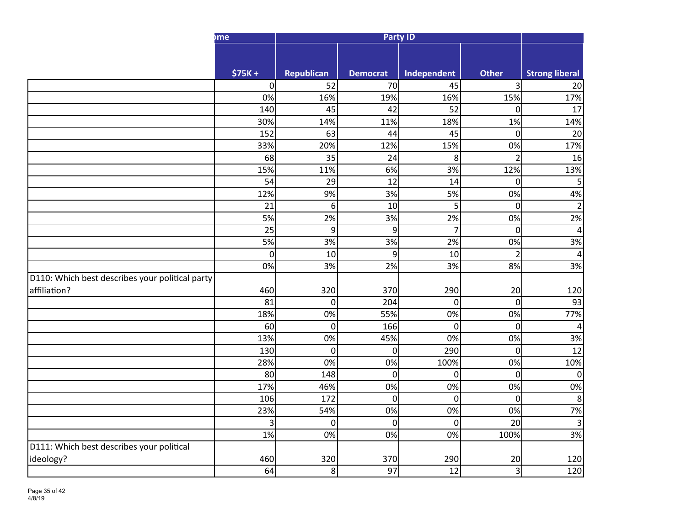|                                                 | hme         |                   |                 | <b>Party ID</b> |                |                          |
|-------------------------------------------------|-------------|-------------------|-----------------|-----------------|----------------|--------------------------|
|                                                 |             |                   |                 |                 |                |                          |
|                                                 | $$75K +$    | <b>Republican</b> | <b>Democrat</b> | Independent     | <b>Other</b>   | <b>Strong liberal</b>    |
|                                                 | $\pmb{0}$   | 52                | 70              | 45              | $\overline{3}$ | $\overline{20}$          |
|                                                 | 0%          | 16%               | 19%             | 16%             | 15%            | 17%                      |
|                                                 | 140         | 45                | 42              | 52              | $\mathbf 0$    | 17                       |
|                                                 | 30%         | 14%               | 11%             | 18%             | 1%             | 14%                      |
|                                                 | 152         | 63                | 44              | 45              | $\mathbf 0$    | 20                       |
|                                                 | 33%         | 20%               | 12%             | 15%             | 0%             | 17%                      |
|                                                 | 68          | 35                | 24              | 8 <sup>1</sup>  | $\overline{2}$ | 16                       |
|                                                 | 15%         | 11%               | 6%              | 3%              | 12%            | 13%                      |
|                                                 | 54          | 29                | 12              | 14              | $\mathbf 0$    | 5                        |
|                                                 | 12%         | 9%                | 3%              | 5%              | 0%             | 4%                       |
|                                                 | 21          | 6                 | 10              | 5 <sup>1</sup>  | $\mathbf 0$    | $\overline{c}$           |
|                                                 | 5%          | 2%                | 3%              | 2%              | 0%             | 2%                       |
|                                                 | 25          | $\overline{9}$    | $\overline{9}$  | $\overline{7}$  | $\mathbf 0$    | 4                        |
|                                                 | 5%          | 3%                | 3%              | 2%              | 0%             | 3%                       |
|                                                 | $\mathbf 0$ | 10                | $\overline{9}$  | 10              | $\overline{2}$ | $\overline{a}$           |
|                                                 | 0%          | 3%                | 2%              | 3%              | 8%             | 3%                       |
| D110: Which best describes your political party |             |                   |                 |                 |                |                          |
| affiliation?                                    | 460         | 320               | 370             | 290             | 20             | 120                      |
|                                                 | 81          | $\overline{0}$    | 204             | $\overline{0}$  | $\mathbf 0$    | 93                       |
|                                                 | 18%         | 0%                | 55%             | 0%              | 0%             | 77%                      |
|                                                 | 60          | $\overline{0}$    | 166             | $\overline{0}$  | $\mathbf 0$    | $\overline{\mathcal{A}}$ |
|                                                 | 13%         | 0%                | 45%             | 0%              | 0%             | 3%                       |
|                                                 | 130         | $\overline{0}$    | 0               | 290             | $\mathbf 0$    | $\overline{12}$          |
|                                                 | 28%         | 0%                | 0%              | 100%            | 0%             | 10%                      |
|                                                 | 80          | 148               | 0               | $\overline{0}$  | $\mathbf 0$    | $\mathbf 0$              |
|                                                 | 17%         | 46%               | 0%              | 0%              | 0%             | 0%                       |
|                                                 | 106         | 172               | 0               | $\Omega$        | $\mathbf 0$    | $\bf 8$                  |
|                                                 | 23%         | 54%               | 0%              | 0%              | 0%             | 7%                       |
|                                                 | 3           | $\overline{0}$    | 0               | $\Omega$        | 20             | 3                        |
|                                                 | 1%          | 0%                | 0%              | 0%              | 100%           | 3%                       |
| D111: Which best describes your political       |             |                   |                 |                 |                |                          |
| ideology?                                       | 460         | 320               | 370             | 290             | 20             | 120                      |
|                                                 | 64          | 8 <sup>1</sup>    | 97              | 12              | 3              | 120                      |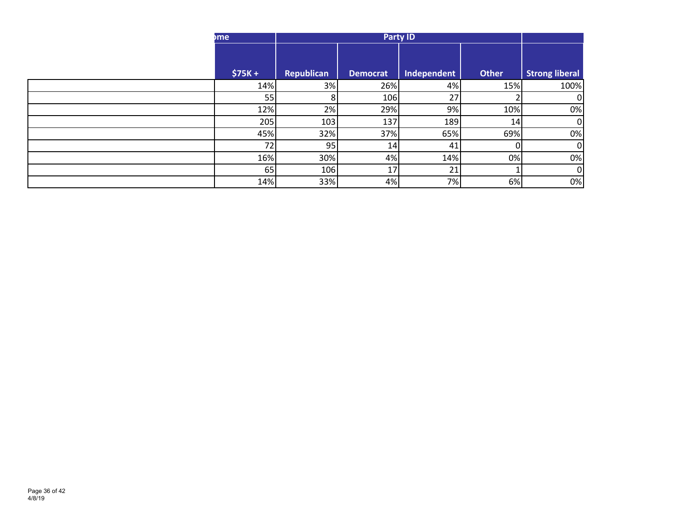| <sub>I</sub> me |            |                 |             |       |                       |
|-----------------|------------|-----------------|-------------|-------|-----------------------|
| $$75K +$        | Republican | <b>Democrat</b> | Independent | Other | <b>Strong liberal</b> |
| 14%             | 3%         | 26%             | 4%          | 15%   | 100%                  |
| 55              | ÕΙ         | 106             | 27          |       |                       |
| 12%             | 2%         | 29%             | 9%          | 10%   | 0%                    |
| 205             | 103        | 137             | 189         | 14    |                       |
| 45%             | 32%        | 37%             | 65%         | 69%   | 0%                    |
| 72              | 95         | 14              | 41          |       |                       |
| 16%             | 30%        | 4%              | 14%         | 0%    | 0%                    |
| 65              | 106        | 17              | 21          |       |                       |
| 14%             | 33%        | 4%              | 7%          | 6%    | 0%                    |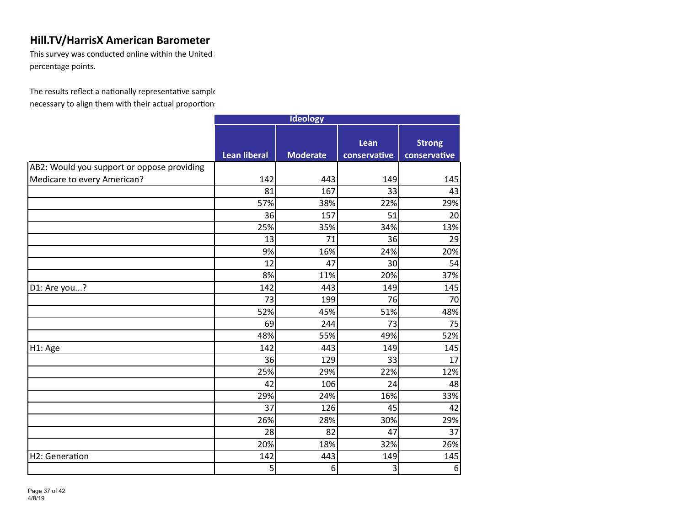This survey was conducted online within the United  $\mathbb I$ percentage points.

|                                            | <b>Ideology</b>     |                 |                      |                               |
|--------------------------------------------|---------------------|-----------------|----------------------|-------------------------------|
|                                            | <b>Lean liberal</b> | <b>Moderate</b> | Lean<br>conservative | <b>Strong</b><br>conservative |
| AB2: Would you support or oppose providing |                     |                 |                      |                               |
| Medicare to every American?                | 142                 | 443             | 149                  | 145                           |
|                                            | 81                  | 167             | 33                   | 43                            |
|                                            | 57%                 | 38%             | 22%                  | 29%                           |
|                                            | 36                  | 157             | 51                   | 20                            |
|                                            | 25%                 | 35%             | 34%                  | 13%                           |
|                                            | 13                  | 71              | 36                   | 29                            |
|                                            | 9%                  | 16%             | 24%                  | 20%                           |
|                                            | 12                  | 47              | 30                   | 54                            |
|                                            | 8%                  | 11%             | 20%                  | 37%                           |
| D1: Are you?                               | 142                 | 443             | 149                  | 145                           |
|                                            | 73                  | 199             | 76                   | 70                            |
|                                            | 52%                 | 45%             | 51%                  | 48%                           |
|                                            | 69                  | 244             | 73                   | 75                            |
|                                            | 48%                 | 55%             | 49%                  | 52%                           |
| H1: Age                                    | 142                 | 443             | 149                  | 145                           |
|                                            | 36                  | 129             | 33                   | 17                            |
|                                            | 25%                 | 29%             | 22%                  | 12%                           |
|                                            | 42                  | 106             | 24                   | 48                            |
|                                            | 29%                 | 24%             | 16%                  | 33%                           |
|                                            | 37                  | 126             | 45                   | 42                            |
|                                            | 26%                 | 28%             | 30%                  | 29%                           |
|                                            | 28                  | 82              | 47                   | 37                            |
|                                            | 20%                 | 18%             | 32%                  | 26%                           |
| H2: Generation                             | 142                 | 443             | 149                  | 145                           |
|                                            | 5                   | 6               | 3                    | 6                             |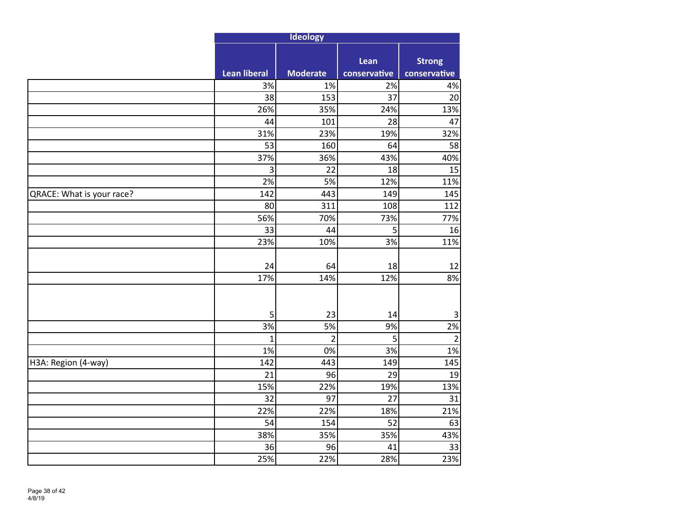|                           |                     | Ideology        |                      |                               |
|---------------------------|---------------------|-----------------|----------------------|-------------------------------|
|                           | <b>Lean liberal</b> | <b>Moderate</b> | Lean<br>conservative | <b>Strong</b><br>conservative |
|                           | 3%                  | 1%              | 2%                   | 4%                            |
|                           | 38                  | 153             | 37                   | 20                            |
|                           | 26%                 | 35%             | 24%                  | 13%                           |
|                           | 44                  | 101             | 28                   | 47                            |
|                           | 31%                 | 23%             | 19%                  | 32%                           |
|                           | 53                  | 160             | 64                   | 58                            |
|                           | 37%                 | 36%             | 43%                  | 40%                           |
|                           | $\overline{3}$      | 22              | 18                   | 15                            |
|                           | 2%                  | 5%              | 12%                  | 11%                           |
| QRACE: What is your race? | 142                 | 443             | 149                  | 145                           |
|                           | 80                  | 311             | 108                  | 112                           |
|                           | 56%                 | 70%             | 73%                  | 77%                           |
|                           | 33                  | 44              | 5                    | 16                            |
|                           | 23%                 | 10%             | 3%                   | 11%                           |
|                           | 24                  | 64              | 18                   | 12                            |
|                           | 17%                 | 14%             | 12%                  | 8%                            |
|                           |                     |                 |                      |                               |
|                           | 5<br>3%             | 23<br>5%        | 14<br>9%             | $\mathbf{3}$<br>2%            |
|                           | $\mathbf 1$         | $\overline{2}$  | 5                    | $\overline{2}$                |
|                           | 1%                  | 0%              | 3%                   | 1%                            |
| H3A: Region (4-way)       | 142                 | 443             | 149                  | 145                           |
|                           | 21                  | 96              | 29                   | 19                            |
|                           | 15%                 | 22%             | 19%                  | 13%                           |
|                           | 32                  | 97              | 27                   | 31                            |
|                           | 22%                 | 22%             | 18%                  | 21%                           |
|                           | 54                  | 154             | 52                   | 63                            |
|                           | 38%                 | 35%             | 35%                  | 43%                           |
|                           | 36                  | 96              | 41                   | 33                            |
|                           | 25%                 | 22%             | 28%                  | 23%                           |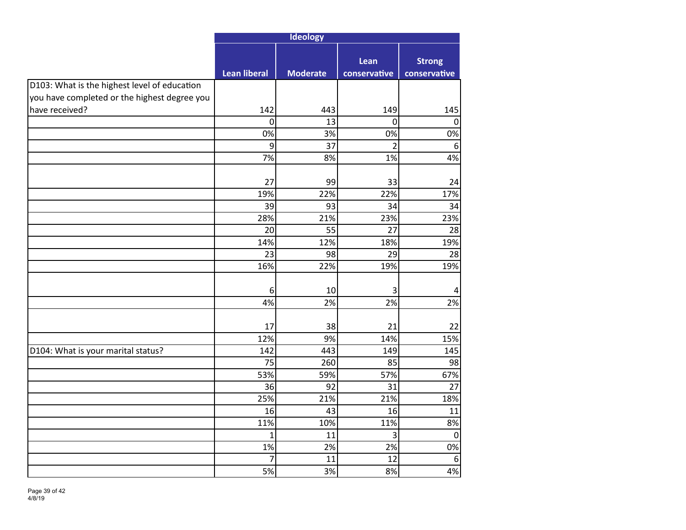|                                              | Ideology       |                 |                      |                               |
|----------------------------------------------|----------------|-----------------|----------------------|-------------------------------|
|                                              | Lean liberal   | <b>Moderate</b> | Lean<br>conservative | <b>Strong</b><br>conservative |
| D103: What is the highest level of education |                |                 |                      |                               |
| you have completed or the highest degree you |                |                 |                      |                               |
| have received?                               | 142            | 443             | 149                  | 145                           |
|                                              | $\overline{0}$ | 13              | $\mathbf 0$          | 0                             |
|                                              | 0%             | 3%              | 0%                   | 0%                            |
|                                              | 9              | 37              | $\overline{2}$       | $6\phantom{1}6$               |
|                                              | 7%             | 8%              | 1%                   | 4%                            |
|                                              |                |                 |                      |                               |
|                                              | 27             | 99              | 33                   | 24                            |
|                                              | 19%<br>39      | 22%<br>93       | 22%                  | 17%                           |
|                                              |                | 21%             | 34                   | 34                            |
|                                              | 28%<br>20      | 55              | 23%<br>27            | 23%                           |
|                                              | 14%            | 12%             | 18%                  | 28<br>19%                     |
|                                              | 23             | 98              | 29                   | 28                            |
|                                              | 16%            | 22%             | 19%                  | 19%                           |
|                                              |                |                 |                      |                               |
|                                              | 6              | 10              | 3                    | 4                             |
|                                              | 4%             | 2%              | 2%                   | 2%                            |
|                                              | 17             | 38              | 21                   | 22                            |
|                                              | 12%            | 9%              | 14%                  | 15%                           |
| D104: What is your marital status?           | 142            | 443             | 149                  | 145                           |
|                                              | 75             | 260             | 85                   | 98                            |
|                                              | 53%            | 59%             | 57%                  | 67%                           |
|                                              | 36             | 92              | 31                   | 27                            |
|                                              | 25%            | 21%             | 21%                  | 18%                           |
|                                              | 16             | 43              | 16                   | 11                            |
|                                              | 11%            | 10%             | 11%                  | 8%                            |
|                                              | $\mathbf{1}$   | 11              | 3                    | $\mathbf 0$                   |
|                                              | 1%             | 2%              | 2%                   | 0%                            |
|                                              | $\overline{7}$ | 11              | 12                   | $\boldsymbol{6}$              |
|                                              | 5%             | 3%              | 8%                   | 4%                            |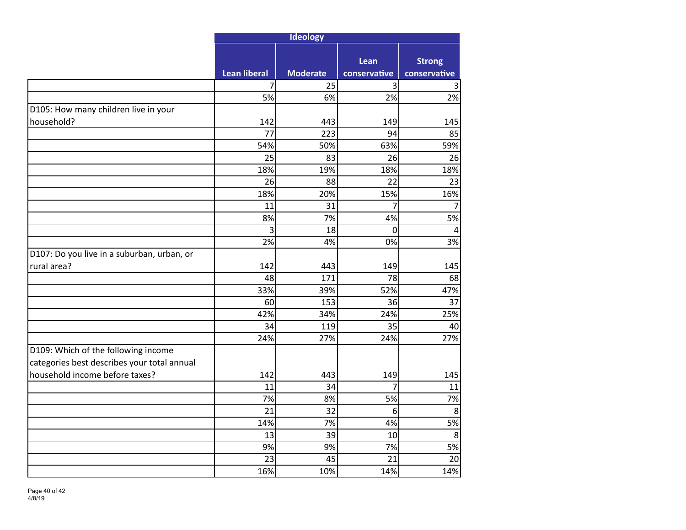|                                                                                    | Ideology            |                 |                      |                               |
|------------------------------------------------------------------------------------|---------------------|-----------------|----------------------|-------------------------------|
|                                                                                    | <b>Lean liberal</b> | <b>Moderate</b> | Lean<br>conservative | <b>Strong</b><br>conservative |
|                                                                                    | 7                   | 25              | 3                    | 3                             |
|                                                                                    | 5%                  | 6%              | 2%                   | $\overline{2\%}$              |
| D105: How many children live in your                                               |                     |                 |                      |                               |
| household?                                                                         | 142                 | 443             | 149                  | 145                           |
|                                                                                    | 77                  | 223             | 94                   | 85                            |
|                                                                                    | 54%                 | 50%             | 63%                  | 59%                           |
|                                                                                    | 25                  | 83              | 26                   | 26                            |
|                                                                                    | 18%                 | 19%             | 18%                  | 18%                           |
|                                                                                    | 26                  | 88              | 22                   | 23                            |
|                                                                                    | 18%                 | 20%             | 15%                  | 16%                           |
|                                                                                    | 11                  | 31              | 7                    | $\overline{7}$                |
|                                                                                    | 8%                  | 7%              | 4%                   | 5%                            |
|                                                                                    | $\overline{3}$      | 18              | $\mathbf 0$          | $\overline{4}$                |
|                                                                                    | 2%                  | 4%              | 0%                   | 3%                            |
| D107: Do you live in a suburban, urban, or                                         |                     |                 |                      |                               |
| rural area?                                                                        | 142                 | 443             | 149                  | 145                           |
|                                                                                    | 48                  | 171             | 78                   | 68                            |
|                                                                                    | 33%                 | 39%             | 52%                  | 47%                           |
|                                                                                    | 60                  | 153             | 36                   | 37                            |
|                                                                                    | 42%                 | 34%             | 24%                  | 25%                           |
|                                                                                    | 34                  | 119             | 35                   | 40                            |
|                                                                                    | 24%                 | 27%             | 24%                  | 27%                           |
| D109: Which of the following income<br>categories best describes your total annual |                     |                 |                      |                               |
| household income before taxes?                                                     | 142                 | 443             | 149                  | 145                           |
|                                                                                    | 11                  | 34              | 7                    | 11                            |
|                                                                                    | 7%                  | 8%              | 5%                   | 7%                            |
|                                                                                    | 21                  | 32              | 6                    | $\overline{\bf 8}$            |
|                                                                                    | 14%                 | 7%              | 4%                   | 5%                            |
|                                                                                    | 13                  | 39              | 10                   | 8                             |
|                                                                                    | 9%                  | 9%              | 7%                   | 5%                            |
|                                                                                    | 23                  | 45              | 21                   | 20                            |
|                                                                                    | 16%                 | 10%             | 14%                  | 14%                           |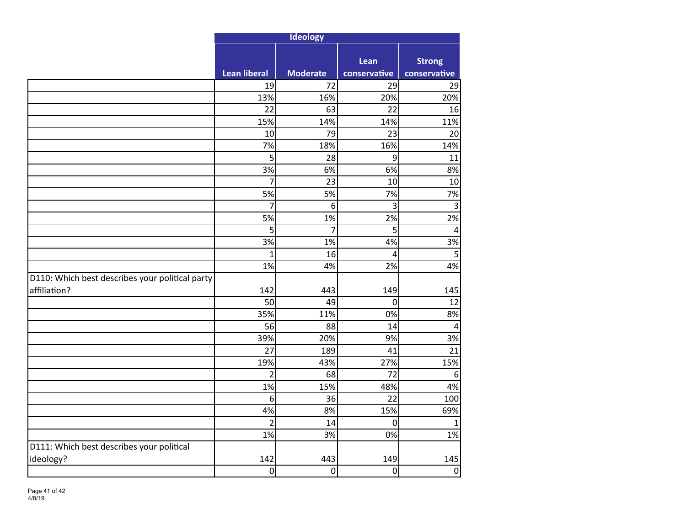|                                                 | Ideology            |                 |                      |                               |
|-------------------------------------------------|---------------------|-----------------|----------------------|-------------------------------|
|                                                 | <b>Lean liberal</b> | <b>Moderate</b> | Lean<br>conservative | <b>Strong</b><br>conservative |
|                                                 | 19                  | 72              | 29                   | 29                            |
|                                                 | 13%                 | 16%             | 20%                  | 20%                           |
|                                                 | 22                  | 63              | 22                   | 16                            |
|                                                 | 15%                 | 14%             | 14%                  | 11%                           |
|                                                 | 10                  | 79              | 23                   | 20                            |
|                                                 | 7%                  | 18%             | 16%                  | 14%                           |
|                                                 | 5                   | 28              | $\boldsymbol{9}$     | 11                            |
|                                                 | 3%                  | 6%              | 6%                   | 8%                            |
|                                                 | $\overline{7}$      | 23              | 10                   | 10                            |
|                                                 | 5%                  | 5%              | 7%                   | 7%                            |
|                                                 | $\overline{7}$      | 6               | 3                    | $\overline{3}$                |
|                                                 | 5%                  | 1%              | 2%                   | 2%                            |
|                                                 | 5                   | $\overline{7}$  | 5                    | $\overline{4}$                |
|                                                 | 3%                  | 1%              | 4%                   | 3%                            |
|                                                 | $\overline{1}$      | 16              | $\overline{4}$       | 5                             |
|                                                 | 1%                  | 4%              | 2%                   | 4%                            |
| D110: Which best describes your political party |                     |                 |                      |                               |
| affiliation?                                    | 142                 | 443             | 149                  | 145                           |
|                                                 | 50                  | 49              | $\mathbf 0$          | 12                            |
|                                                 | 35%                 | 11%             | 0%                   | 8%                            |
|                                                 | 56                  | 88              | 14                   | $\overline{4}$                |
|                                                 | 39%<br>27           | 20%             | 9%                   | 3%<br>$\overline{21}$         |
|                                                 | 19%                 | 189<br>43%      | 41<br>27%            | 15%                           |
|                                                 | $\overline{2}$      | 68              | 72                   | $\sqrt{6}$                    |
|                                                 | 1%                  | 15%             | 48%                  | 4%                            |
|                                                 | 6                   | 36              | 22                   | 100                           |
|                                                 | 4%                  | 8%              | 15%                  | 69%                           |
|                                                 | $\overline{2}$      | 14              | $\boldsymbol{0}$     | $\mathbf 1$                   |
|                                                 | 1%                  | 3%              | 0%                   | 1%                            |
| D111: Which best describes your political       |                     |                 |                      |                               |
| ideology?                                       | 142                 | 443             | 149                  | 145                           |
|                                                 | 0                   | $\mathbf 0$     | $\mathbf 0$          | $\pmb{0}$                     |